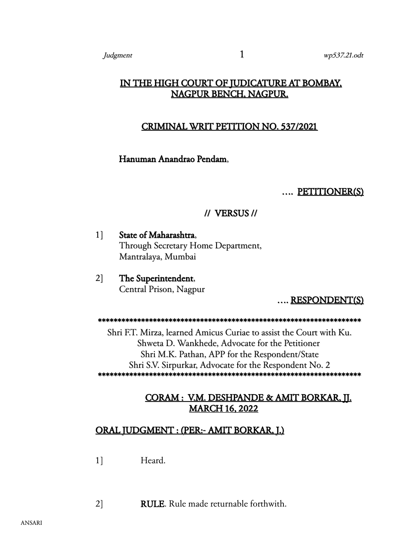# IN THE HIGH COURT OF JUDICATURE AT BOMBAY, NAGPUR BENCH, NAGPUR.

## CRIMINAL WRIT PETITION NO. 537/2021

### Hanuman Anandrao Pendam,

#### …. PETITIONER(S)

### // VERSUS //

1] State of Maharashtra, Through Secretary Home Department, Mantralaya, Mumbai

2] The Superintendent, Central Prison, Nagpur

…. RESPONDENT(S)

\*\*\*\*\*\*\*\*\*\*\*\*\*\*\*\*\*\*\*\*\*\*\*\*\*\*\*\*\*\*\*\*\*\*\*\*\*\*\*\*\*\*\*\*\*\*\*\*\*\*\*\*\*\*\*\*\*\*\*\*\*\*\*\*\*\*\*

Shri F.T. Mirza, learned Amicus Curiae to assist the Court with Ku. Shweta D. Wankhede, Advocate for the Petitioner Shri M.K. Pathan, APP for the Respondent/State Shri S.V. Sirpurkar, Advocate for the Respondent No. 2 \*\*\*\*\*\*\*\*\*\*\*\*\*\*\*\*\*\*\*\*\*\*\*\*\*\*\*\*\*\*\*\*\*\*\*\*\*\*\*\*\*\*\*\*\*\*\*\*\*\*\*\*\*\*\*\*\*\*\*\*\*\*\*\*\*\*\*

# CORAM : V.M. DESHPANDE & AMIT BORKAR, JJ. MARCH 16, 2022

## ORAL JUDGMENT : (PER:- AMIT BORKAR, J.)

1] Heard.

2] RULE. Rule made returnable forthwith.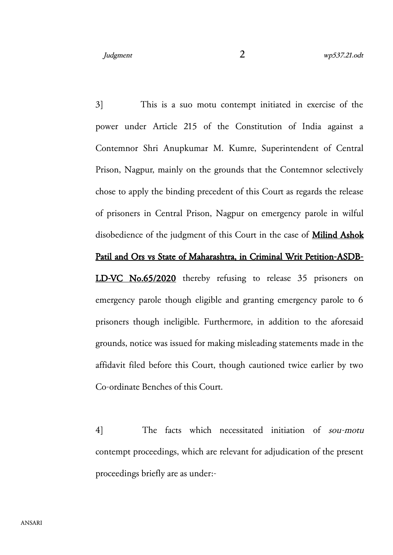3] This is a suo motu contempt initiated in exercise of the power under Article 215 of the Constitution of India against a Contemnor Shri Anupkumar M. Kumre, Superintendent of Central Prison, Nagpur, mainly on the grounds that the Contemnor selectively chose to apply the binding precedent of this Court as regards the release of prisoners in Central Prison, Nagpur on emergency parole in wilful disobedience of the judgment of this Court in the case of **Milind Ashok** Patil and Ors vs State of Maharashtra, in Criminal Writ Petition-ASDB-LD-VC No.65/2020 thereby refusing to release 35 prisoners on emergency parole though eligible and granting emergency parole to 6 prisoners though ineligible. Furthermore, in addition to the aforesaid grounds, notice was issued for making misleading statements made in the affidavit filed before this Court, though cautioned twice earlier by two

Co-ordinate Benches of this Court.

4] The facts which necessitated initiation of sou-motu contempt proceedings, which are relevant for adjudication of the present proceedings briefly are as under:-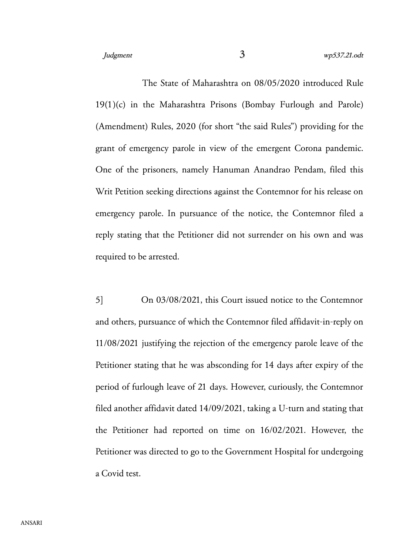The State of Maharashtra on 08/05/2020 introduced Rule 19(1)(c) in the Maharashtra Prisons (Bombay Furlough and Parole) (Amendment) Rules, 2020 (for short "the said Rules") providing for the grant of emergency parole in view of the emergent Corona pandemic. One of the prisoners, namely Hanuman Anandrao Pendam, filed this Writ Petition seeking directions against the Contemnor for his release on emergency parole. In pursuance of the notice, the Contemnor filed a reply stating that the Petitioner did not surrender on his own and was required to be arrested.

5] On 03/08/2021, this Court issued notice to the Contemnor and others, pursuance of which the Contemnor filed affidavit-in-reply on 11/08/2021 justifying the rejection of the emergency parole leave of the Petitioner stating that he was absconding for 14 days after expiry of the period of furlough leave of 21 days. However, curiously, the Contemnor filed another affidavit dated 14/09/2021, taking a U-turn and stating that the Petitioner had reported on time on 16/02/2021. However, the Petitioner was directed to go to the Government Hospital for undergoing a Covid test.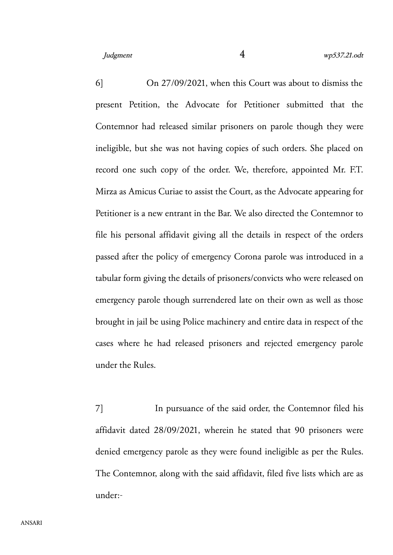6] On 27/09/2021, when this Court was about to dismiss the present Petition, the Advocate for Petitioner submitted that the Contemnor had released similar prisoners on parole though they were ineligible, but she was not having copies of such orders. She placed on record one such copy of the order. We, therefore, appointed Mr. F.T. Mirza as Amicus Curiae to assist the Court, as the Advocate appearing for Petitioner is a new entrant in the Bar. We also directed the Contemnor to file his personal affidavit giving all the details in respect of the orders passed after the policy of emergency Corona parole was introduced in a tabular form giving the details of prisoners/convicts who were released on emergency parole though surrendered late on their own as well as those brought in jail be using Police machinery and entire data in respect of the cases where he had released prisoners and rejected emergency parole under the Rules.

7] In pursuance of the said order, the Contemnor filed his affidavit dated 28/09/2021, wherein he stated that 90 prisoners were denied emergency parole as they were found ineligible as per the Rules. The Contemnor, along with the said affidavit, filed five lists which are as under:-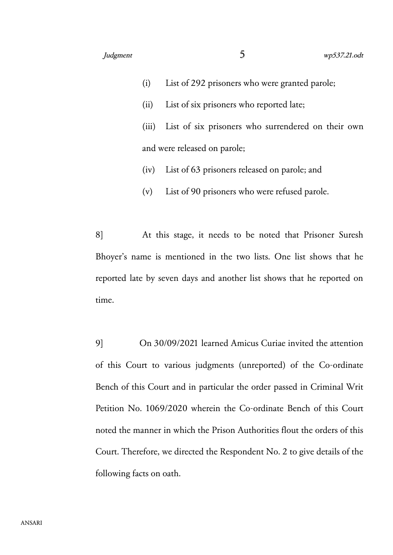- (i) List of 292 prisoners who were granted parole;
- (ii) List of six prisoners who reported late;
- (iii) List of six prisoners who surrendered on their own and were released on parole;
- (iv) List of 63 prisoners released on parole; and
- (v) List of 90 prisoners who were refused parole.

8] At this stage, it needs to be noted that Prisoner Suresh Bhoyer's name is mentioned in the two lists. One list shows that he reported late by seven days and another list shows that he reported on time.

9] On 30/09/2021 learned Amicus Curiae invited the attention of this Court to various judgments (unreported) of the Co-ordinate Bench of this Court and in particular the order passed in Criminal Writ Petition No. 1069/2020 wherein the Co-ordinate Bench of this Court noted the manner in which the Prison Authorities flout the orders of this Court. Therefore, we directed the Respondent No. 2 to give details of the following facts on oath.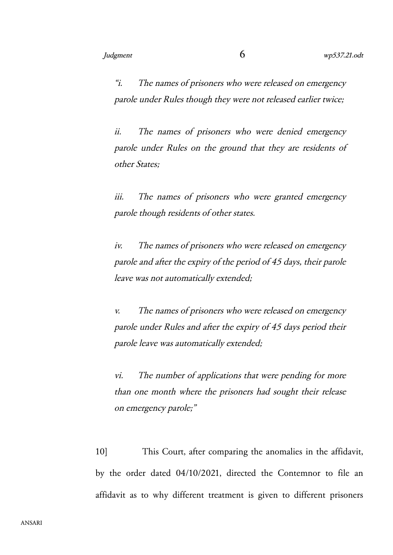"i. The names of prisoners who were released on emergency parole under Rules though they were not released earlier twice;

ii. The names of prisoners who were denied emergency parole under Rules on the ground that they are residents of other States;

iii. The names of prisoners who were granted emergency parole though residents of other states.

iv. The names of prisoners who were released on emergency parole and after the expiry of the period of 45 days, their parole leave was not automatically extended;

v. The names of prisoners who were released on emergency parole under Rules and after the expiry of 45 days period their parole leave was automatically extended;

vi. The number of applications that were pending for more than one month where the prisoners had sought their release on emergency parole;"

10] This Court, after comparing the anomalies in the affidavit, by the order dated 04/10/2021, directed the Contemnor to file an affidavit as to why different treatment is given to different prisoners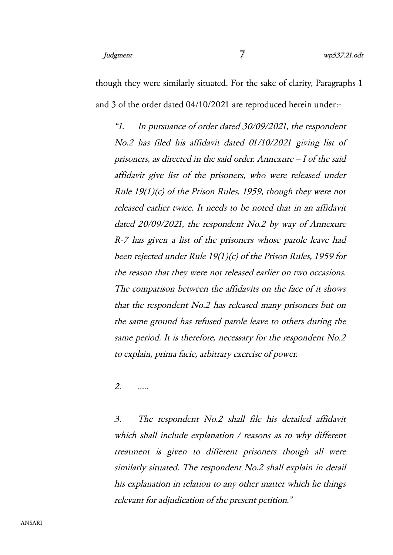though they were similarly situated. For the sake of clarity, Paragraphs 1 and 3 of the order dated 04/10/2021 are reproduced herein under:-

"1. In pursuance of order dated 30/09/2021, the respondent No.2 has filed his affidavit dated 01/10/2021 giving list of prisoners, as directed in the said order. Annexure – I of the said affidavit give list of the prisoners, who were released under Rule 19(1)(c) of the Prison Rules, 1959, though they were not released earlier twice. It needs to be noted that in an affidavit dated 20/09/2021, the respondent No.2 by way of Annexure R-7 has given a list of the prisoners whose parole leave had been rejected under Rule 19(1)(c) of the Prison Rules, 1959 for the reason that they were not released earlier on two occasions. The comparison between the affidavits on the face of it shows that the respondent No.2 has released many prisoners but on the same ground has refused parole leave to others during the same period. It is therefore, necessary for the respondent No.2 to explain, prima facie, arbitrary exercise of power.

2. .....

3. The respondent No.2 shall file his detailed affidavit which shall include explanation / reasons as to why different treatment is given to different prisoners though all were similarly situated. The respondent No.2 shall explain in detail his explanation in relation to any other matter which he things relevant for adjudication of the present petition."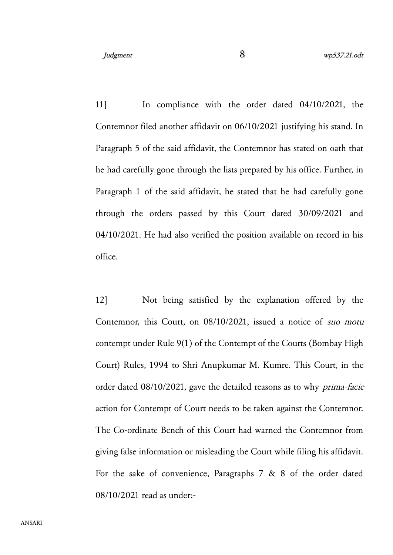11] In compliance with the order dated 04/10/2021, the Contemnor filed another affidavit on 06/10/2021 justifying his stand. In Paragraph 5 of the said affidavit, the Contemnor has stated on oath that he had carefully gone through the lists prepared by his office. Further, in Paragraph 1 of the said affidavit, he stated that he had carefully gone through the orders passed by this Court dated 30/09/2021 and 04/10/2021. He had also verified the position available on record in his office.

12] Not being satisfied by the explanation offered by the Contemnor, this Court, on 08/10/2021, issued a notice of suo motu contempt under Rule 9(1) of the Contempt of the Courts (Bombay High Court) Rules, 1994 to Shri Anupkumar M. Kumre. This Court, in the order dated 08/10/2021, gave the detailed reasons as to why prima-facie action for Contempt of Court needs to be taken against the Contemnor. The Co-ordinate Bench of this Court had warned the Contemnor from giving false information or misleading the Court while filing his affidavit. For the sake of convenience, Paragraphs 7 & 8 of the order dated 08/10/2021 read as under:-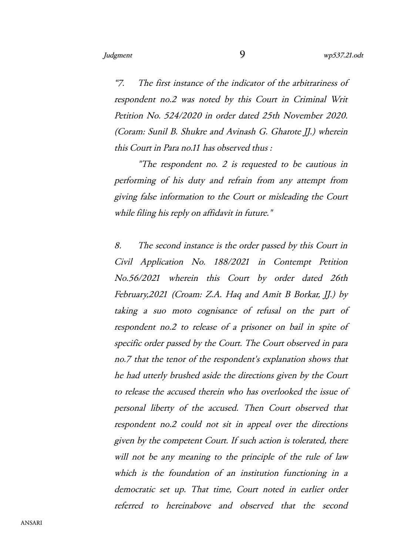"7. The first instance of the indicator of the arbitrariness of respondent no.2 was noted by this Court in Criminal Writ Petition No. 524/2020 in order dated 25th November 2020. (Coram: Sunil B. Shukre and Avinash G. Gharote JJ.) wherein this Court in Para no.11 has observed thus :

"The respondent no. 2 is requested to be cautious in performing of his duty and refrain from any attempt from giving false information to the Court or misleading the Court while filing his reply on affidavit in future."

8. The second instance is the order passed by this Court in Civil Application No. 188/2021 in Contempt Petition No.56/2021 wherein this Court by order dated 26th February, 2021 (Croam: Z.A. Haq and Amit B Borkar, JJ.) by taking <sup>a</sup> suo moto cognisance of refusal on the part of respondent no.2 to release of <sup>a</sup> prisoner on bail in spite of specific order passed by the Court. The Court observed in para no.7 that the tenor of the respondent's explanation shows that he had utterly brushed aside the directions given by the Court to release the accused therein who has overlooked the issue of personal liberty of the accused. Then Court observed that respondent no.2 could not sit in appeal over the directions given by the competent Court. If such action is tolerated, there will not be any meaning to the principle of the rule of law which is the foundation of an institution functioning in a democratic set up. That time, Court noted in earlier order referred to hereinabove and observed that the second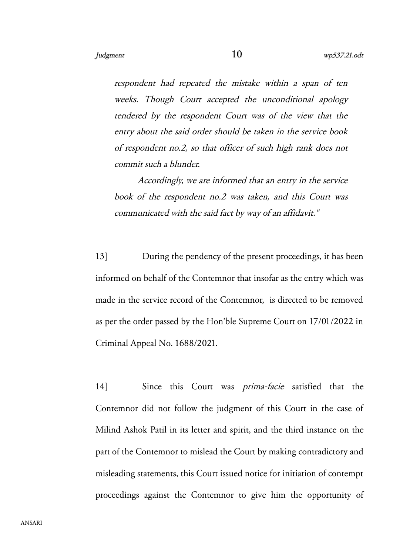respondent had repeated the mistake within <sup>a</sup> span of ten weeks. Though Court accepted the unconditional apology tendered by the respondent Court was of the view that the entry about the said order should be taken in the service book of respondent no.2, so that officer of such high rank does not commit such a blunder.

Accordingly, we are informed that an entry in the service book of the respondent no.2 was taken, and this Court was communicated with the said fact by way of an affidavit."

13] During the pendency of the present proceedings, it has been informed on behalf of the Contemnor that insofar as the entry which was made in the service record of the Contemnor, is directed to be removed as per the order passed by the Hon'ble Supreme Court on 17/01/2022 in Criminal Appeal No. 1688/2021.

14] Since this Court was prima-facie satisfied that the Contemnor did not follow the judgment of this Court in the case of Milind Ashok Patil in its letter and spirit, and the third instance on the part of the Contemnor to mislead the Court by making contradictory and misleading statements, this Court issued notice for initiation of contempt proceedings against the Contemnor to give him the opportunity of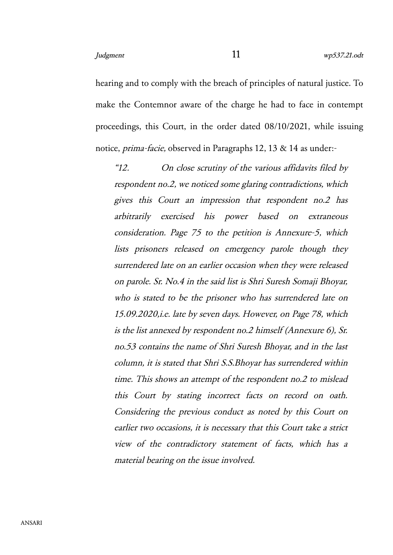hearing and to comply with the breach of principles of natural justice. To make the Contemnor aware of the charge he had to face in contempt proceedings, this Court, in the order dated 08/10/2021, while issuing notice, prima-facie, observed in Paragraphs 12, 13 & 14 as under:-

"12. On close scrutiny of the various affidavits filed by respondent no.2, we noticed some glaring contradictions, which gives this Court an impression that respondent no.2 has arbitrarily exercised his power based on extraneous consideration. Page 75 to the petition is Annexure-5, which lists prisoners released on emergency parole though they surrendered late on an earlier occasion when they were released on parole. Sr. No.4 in the said list is Shri Suresh Somaji Bhoyar, who is stated to be the prisoner who has surrendered late on 15.09.2020,i.e. late by seven days. However, on Page 78, which is the list annexed by respondent no.2 himself (Annexure 6), Sr. no.53 contains the name of Shri Suresh Bhoyar, and in the last column, it is stated that Shri S.S.Bhoyar has surrendered within time. This shows an attempt of the respondent no.2 to mislead this Court by stating incorrect facts on record on oath. Considering the previous conduct as noted by this Court on earlier two occasions, it is necessary that this Court take a strict view of the contradictory statement of facts, which has <sup>a</sup> material bearing on the issue involved.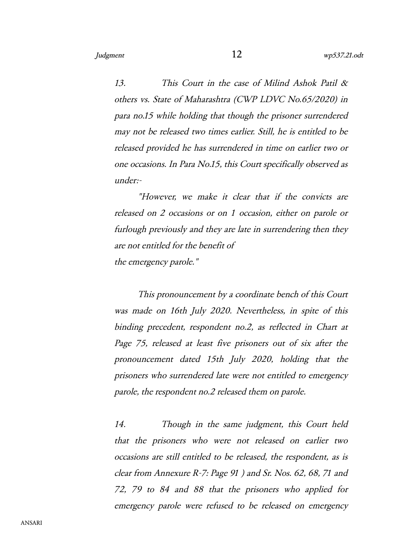13. This Court in the case of Milind Ashok Patil & others vs. State of Maharashtra (CWP LDVC No.65/2020) in para no.15 while holding that though the prisoner surrendered may not be released two times earlier. Still, he is entitled to be released provided he has surrendered in time on earlier two or one occasions. In Para No.15, this Court specifically observed as under:-

"However, we make it clear that if the convicts are released on 2 occasions or on 1 occasion, either on parole or furlough previously and they are late in surrendering then they are not entitled for the benefit of the emergency parole."

This pronouncement by a coordinate bench of this Court was made on 16th July 2020. Nevertheless, in spite of this binding precedent, respondent no.2, as reflected in Chart at Page 75, released at least five prisoners out of six after the pronouncement dated 15th July 2020, holding that the prisoners who surrendered late were not entitled to emergency parole, the respondent no.2 released them on parole.

14. Though in the same judgment, this Court held that the prisoners who were not released on earlier two occasions are still entitled to be released, the respondent, as is clear from Annexure R-7: Page 91 ) and Sr. Nos. 62, 68, 71 and 72, 79 to <sup>84</sup> and <sup>88</sup> that the prisoners who applied for emergency parole were refused to be released on emergency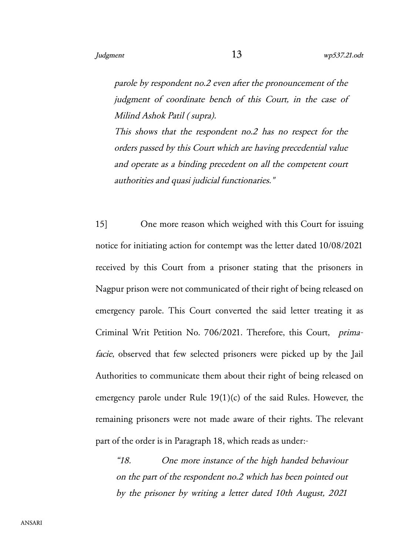parole by respondent no.2 even after the pronouncement of the judgment of coordinate bench of this Court, in the case of Milind Ashok Patil ( supra).

This shows that the respondent no.2 has no respect for the orders passed by this Court which are having precedential value and operate as a binding precedent on all the competent court authorities and quasi judicial functionaries."

15] One more reason which weighed with this Court for issuing notice for initiating action for contempt was the letter dated 10/08/2021 received by this Court from a prisoner stating that the prisoners in Nagpur prison were not communicated of their right of being released on emergency parole. This Court converted the said letter treating it as Criminal Writ Petition No. 706/2021. Therefore, this Court, primafacie, observed that few selected prisoners were picked up by the Jail Authorities to communicate them about their right of being released on emergency parole under Rule 19(1)(c) of the said Rules. However, the remaining prisoners were not made aware of their rights. The relevant part of the order is in Paragraph 18, which reads as under:-

"18. One more instance of the high handed behaviour on the part of the respondent no.2 which has been pointed out by the prisoner by writing a letter dated 10th August, 2021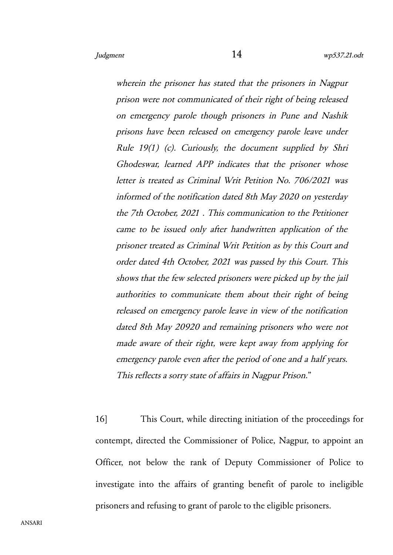wherein the prisoner has stated that the prisoners in Nagpur prison were not communicated of their right of being released on emergency parole though prisoners in Pune and Nashik prisons have been released on emergency parole leave under Rule 19(1) (c). Curiously, the document supplied by Shri Ghodeswar, learned APP indicates that the prisoner whose letter is treated as Criminal Writ Petition No. 706/2021 was informed of the notification dated 8th May 2020 on yesterday the 7th October, 2021 . This communication to the Petitioner came to be issued only after handwritten application of the prisoner treated as Criminal Writ Petition as by this Court and order dated 4th October, 2021 was passed by this Court. This shows that the few selected prisoners were picked up by the jail authorities to communicate them about their right of being released on emergency parole leave in view of the notification dated 8th May 20920 and remaining prisoners who were not made aware of their right, were kept away from applying for emergency parole even after the period of one and a half years. This reflects a sorry state of affairs in Nagpur Prison."

16] This Court, while directing initiation of the proceedings for contempt, directed the Commissioner of Police, Nagpur, to appoint an Officer, not below the rank of Deputy Commissioner of Police to investigate into the affairs of granting benefit of parole to ineligible prisoners and refusing to grant of parole to the eligible prisoners.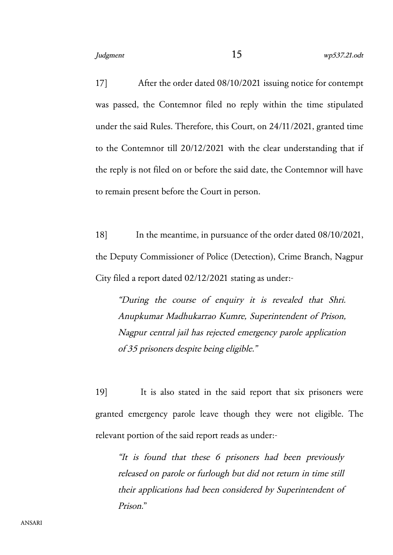17] After the order dated 08/10/2021 issuing notice for contempt was passed, the Contemnor filed no reply within the time stipulated under the said Rules. Therefore, this Court, on 24/11/2021, granted time to the Contemnor till 20/12/2021 with the clear understanding that if the reply is not filed on or before the said date, the Contemnor will have to remain present before the Court in person.

18] In the meantime, in pursuance of the order dated 08/10/2021, the Deputy Commissioner of Police (Detection), Crime Branch, Nagpur City filed a report dated 02/12/2021 stating as under:-

"During the course of enquiry it is revealed that Shri. Anupkumar Madhukarrao Kumre, Superintendent of Prison, Nagpur central jail has rejected emergency parole application of 35 prisoners despite being eligible."

19] It is also stated in the said report that six prisoners were granted emergency parole leave though they were not eligible. The relevant portion of the said report reads as under:-

"It is found that these <sup>6</sup> prisoners had been previously released on parole or furlough but did not return in time still their applications had been considered by Superintendent of Prison."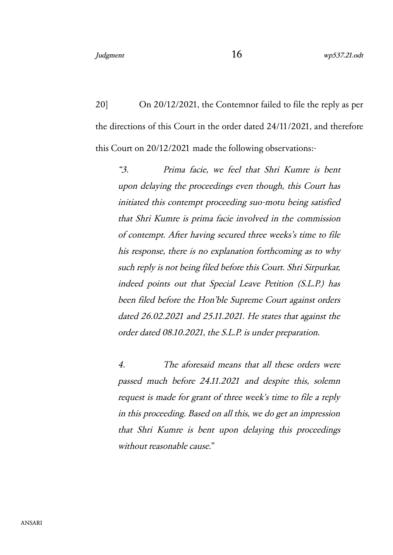20] On 20/12/2021, the Contemnor failed to file the reply as per the directions of this Court in the order dated 24/11/2021, and therefore this Court on 20/12/2021 made the following observations:-

"3. Prima facie, we feel that Shri Kumre is bent upon delaying the proceedings even though, this Court has initiated this contempt proceeding suo-motu being satisfied that Shri Kumre is prima facie involved in the commission of contempt. After having secured three weeks's time to file his response, there is no explanation forthcoming as to why such reply is not being filed before this Court. Shri Sirpurkar, indeed points out that Special Leave Petition (S.L.P.) has been filed before the Hon'ble Supreme Court against orders dated 26.02.2021 and 25.11.2021. He states that against the order dated 08.10.2021, the S.L.P. is under preparation.

4. The aforesaid means that all these orders were passed much before 24.11.2021 and despite this, solemn request is made for grant of three week's time to file a reply in this proceeding. Based on all this, we do get an impression that Shri Kumre is bent upon delaying this proceedings without reasonable cause."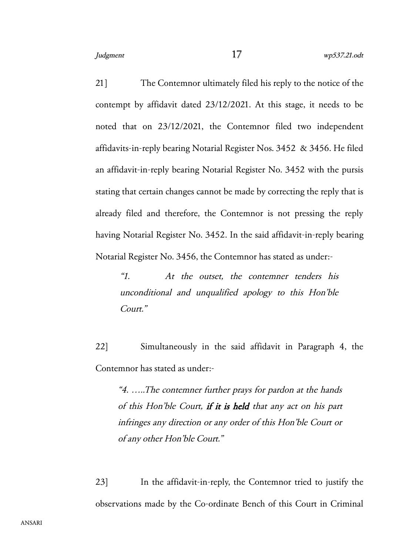21] The Contemnor ultimately filed his reply to the notice of the contempt by affidavit dated 23/12/2021. At this stage, it needs to be noted that on 23/12/2021, the Contemnor filed two independent affidavits-in-reply bearing Notarial Register Nos. 3452 & 3456. He filed an affidavit-in-reply bearing Notarial Register No. 3452 with the pursis stating that certain changes cannot be made by correcting the reply that is already filed and therefore, the Contemnor is not pressing the reply having Notarial Register No. 3452. In the said affidavit-in-reply bearing Notarial Register No. 3456, the Contemnor has stated as under:-

"1. At the outset, the contemner tenders his unconditional and unqualified apology to this Hon'ble Court."

22] Simultaneously in the said affidavit in Paragraph 4, the Contemnor has stated as under:-

"4. …..The contemner further prays for pardon at the hands of this Hon'ble Court, if it is held that any act on his part infringes any direction or any order of this Hon'ble Court or of any other Hon'ble Court."

23] In the affidavit-in-reply, the Contemnor tried to justify the observations made by the Co-ordinate Bench of this Court in Criminal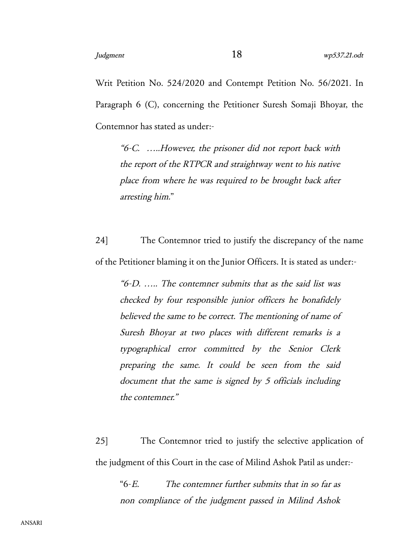Writ Petition No. 524/2020 and Contempt Petition No. 56/2021. In Paragraph 6 (C), concerning the Petitioner Suresh Somaji Bhoyar, the Contemnor has stated as under:-

"6-C. …..However, the prisoner did not report back with the report of the RTPCR and straightway went to his native place from where he was required to be brought back after arresting him."

24] The Contemnor tried to justify the discrepancy of the name of the Petitioner blaming it on the Junior Officers. It is stated as under:-

"6-D. ….. The contemner submits that as the said list was checked by four responsible junior officers he bonafidely believed the same to be correct. The mentioning of name of Suresh Bhoyar at two places with different remarks is a typographical error committed by the Senior Clerk preparing the same. It could be seen from the said document that the same is signed by 5 officials including the contemner."

25] The Contemnor tried to justify the selective application of the judgment of this Court in the case of Milind Ashok Patil as under:-

"6-E. The contemner further submits that in so far as non compliance of the judgment passed in Milind Ashok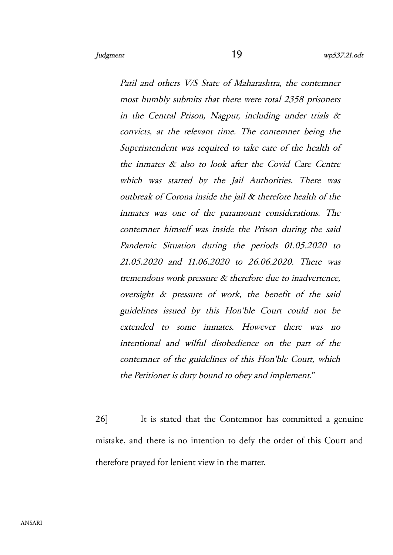Patil and others V/S State of Maharashtra, the contemner most humbly submits that there were total 2358 prisoners in the Central Prison, Nagpur, including under trials  $\&$ convicts, at the relevant time. The contemner being the Superintendent was required to take care of the health of the inmates & also to look after the Covid Care Centre which was started by the Jail Authorities. There was outbreak of Corona inside the jail & therefore health of the inmates was one of the paramount considerations. The contemner himself was inside the Prison during the said Pandemic Situation during the periods 01.05.2020 to 21.05.2020 and 11.06.2020 to 26.06.2020. There was tremendous work pressure & therefore due to inadvertence, oversight & pressure of work, the benefit of the said guidelines issued by this Hon'ble Court could not be extended to some inmates. However there was no intentional and wilful disobedience on the part of the contemner of the guidelines of this Hon'ble Court, which the Petitioner is duty bound to obey and implement."

26] It is stated that the Contemnor has committed a genuine mistake, and there is no intention to defy the order of this Court and therefore prayed for lenient view in the matter.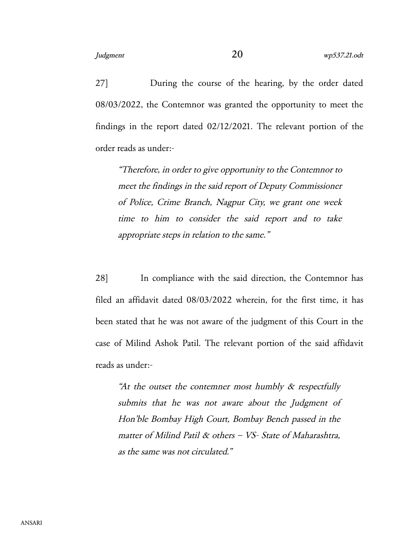27] During the course of the hearing, by the order dated 08/03/2022, the Contemnor was granted the opportunity to meet the findings in the report dated 02/12/2021. The relevant portion of the order reads as under:-

"Therefore, in order to give opportunity to the Contemnor to meet the findings in the said report of Deputy Commissioner of Police, Crime Branch, Nagpur City, we grant one week time to him to consider the said report and to take appropriate steps in relation to the same."

28] In compliance with the said direction, the Contemnor has filed an affidavit dated 08/03/2022 wherein, for the first time, it has been stated that he was not aware of the judgment of this Court in the case of Milind Ashok Patil. The relevant portion of the said affidavit reads as under:-

"At the outset the contemner most humbly  $\&$  respectfully submits that he was not aware about the Judgment of Hon'ble Bombay High Court, Bombay Bench passed in the matter of Milind Patil & others – VS- State of Maharashtra, as the same was not circulated."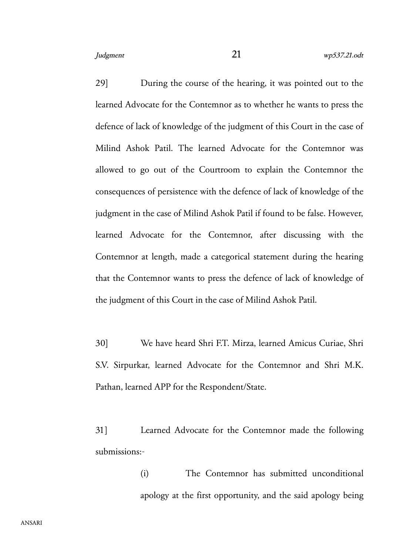29] During the course of the hearing, it was pointed out to the learned Advocate for the Contemnor as to whether he wants to press the defence of lack of knowledge of the judgment of this Court in the case of Milind Ashok Patil. The learned Advocate for the Contemnor was allowed to go out of the Courtroom to explain the Contemnor the consequences of persistence with the defence of lack of knowledge of the judgment in the case of Milind Ashok Patil if found to be false. However, learned Advocate for the Contemnor, after discussing with the Contemnor at length, made a categorical statement during the hearing that the Contemnor wants to press the defence of lack of knowledge of the judgment of this Court in the case of Milind Ashok Patil.

30] We have heard Shri F.T. Mirza, learned Amicus Curiae, Shri S.V. Sirpurkar, learned Advocate for the Contemnor and Shri M.K. Pathan, learned APP for the Respondent/State.

31] Learned Advocate for the Contemnor made the following submissions:-

> (i) The Contemnor has submitted unconditional apology at the first opportunity, and the said apology being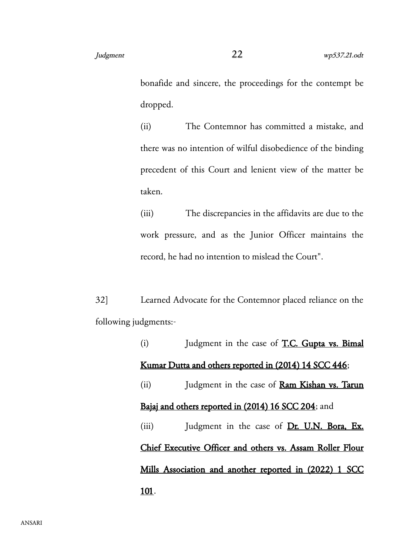bonafide and sincere, the proceedings for the contempt be dropped.

(ii) The Contemnor has committed a mistake, and there was no intention of wilful disobedience of the binding precedent of this Court and lenient view of the matter be taken.

(iii) The discrepancies in the affidavits are due to the work pressure, and as the Junior Officer maintains the record, he had no intention to mislead the Court".

32] Learned Advocate for the Contemnor placed reliance on the following judgments:-

> (i) Judgment in the case of T.C. Gupta vs. Bimal Kumar Dutta and others reported in (2014) 14 SCC 446; (ii) Judgment in the case of Ram Kishan vs. Tarun Bajaj and others reported in (2014) 16 SCC 204; and (iii) Judgment in the case of Dr. U.N. Bora, Ex. Chief Executive Officer and others vs. Assam Roller Flour Mills Association and another reported in (2022) 1 SCC 101.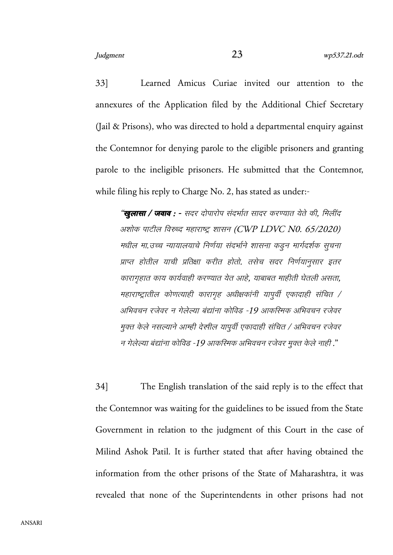33] Learned Amicus Curiae invited our attention to the annexures of the Application filed by the Additional Chief Secretary (Jail & Prisons), who was directed to hold a departmental enquiry against the Contemnor for denying parole to the eligible prisoners and granting parole to the ineligible prisoners. He submitted that the Contemnor, while filing his reply to Charge No. 2, has stated as under:-

"**खुलासा** / **जवावा** : - सदर दोपारोपा संदर्भात सादर करण्यात याते की, मिलींद अशोक पाटील विरुध्द महाराष्ट्र शासन (CWP LDVC N0. 65/2020) मधील मा.उच्च न्यायालयाचे निर्णया संदर्भाने शासना कडुन मार्गदर्शक सुचना प्राप्त होतील याची प्रतिक्षा करीत होतो. तसेच सदर निर्णयानुसार इतर कारागहात काय कार्यवाही करण्यात येत आहे, याबाबत माहीती घेतली असता, महाराष्ट्रातील कोणत्याही कारागृह अधीक्षकांनी यापुर्वी एकादाही संचित / अभिवचन रजेवर न गेलेल्या बंद्यांना कोविड -19 आकस्मिक अभिवचन रजेवर मुक्त केले नसल्याने आम्ही देखील यापुर्वी एकादाही संचित / अभिवचन रजेवर न गेलेल्या बंद्यांना कोविड -19 आकस्मिक अभिवचन रजेवर मुक्त केले नाही ."

34] The English translation of the said reply is to the effect that the Contemnor was waiting for the guidelines to be issued from the State Government in relation to the judgment of this Court in the case of Milind Ashok Patil. It is further stated that after having obtained the information from the other prisons of the State of Maharashtra, it was revealed that none of the Superintendents in other prisons had not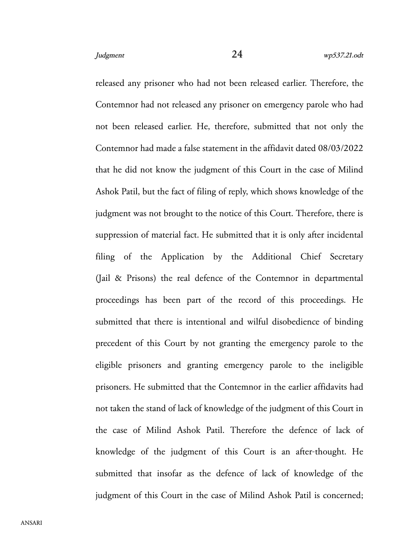released any prisoner who had not been released earlier. Therefore, the Contemnor had not released any prisoner on emergency parole who had not been released earlier. He, therefore, submitted that not only the Contemnor had made a false statement in the affidavit dated 08/03/2022 that he did not know the judgment of this Court in the case of Milind Ashok Patil, but the fact of filing of reply, which shows knowledge of the judgment was not brought to the notice of this Court. Therefore, there is suppression of material fact. He submitted that it is only after incidental filing of the Application by the Additional Chief Secretary (Jail & Prisons) the real defence of the Contemnor in departmental proceedings has been part of the record of this proceedings. He submitted that there is intentional and wilful disobedience of binding precedent of this Court by not granting the emergency parole to the eligible prisoners and granting emergency parole to the ineligible prisoners. He submitted that the Contemnor in the earlier affidavits had not taken the stand of lack of knowledge of the judgment of this Court in the case of Milind Ashok Patil. Therefore the defence of lack of knowledge of the judgment of this Court is an after-thought. He submitted that insofar as the defence of lack of knowledge of the judgment of this Court in the case of Milind Ashok Patil is concerned;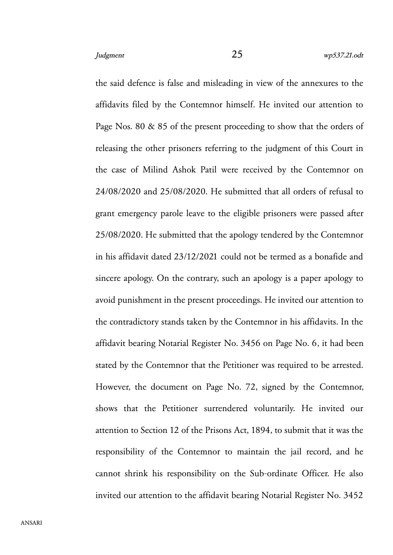the said defence is false and misleading in view of the annexures to the affidavits filed by the Contemnor himself. He invited our attention to Page Nos. 80 & 85 of the present proceeding to show that the orders of releasing the other prisoners referring to the judgment of this Court in the case of Milind Ashok Patil were received by the Contemnor on 24/08/2020 and 25/08/2020. He submitted that all orders of refusal to grant emergency parole leave to the eligible prisoners were passed after 25/08/2020. He submitted that the apology tendered by the Contemnor in his affidavit dated 23/12/2021 could not be termed as a bonafide and sincere apology. On the contrary, such an apology is a paper apology to avoid punishment in the present proceedings. He invited our attention to the contradictory stands taken by the Contemnor in his affidavits. In the affidavit bearing Notarial Register No. 3456 on Page No. 6, it had been stated by the Contemnor that the Petitioner was required to be arrested. However, the document on Page No. 72, signed by the Contemnor, shows that the Petitioner surrendered voluntarily. He invited our attention to Section 12 of the Prisons Act, 1894, to submit that it was the responsibility of the Contemnor to maintain the jail record, and he cannot shrink his responsibility on the Sub-ordinate Officer. He also invited our attention to the affidavit bearing Notarial Register No. 3452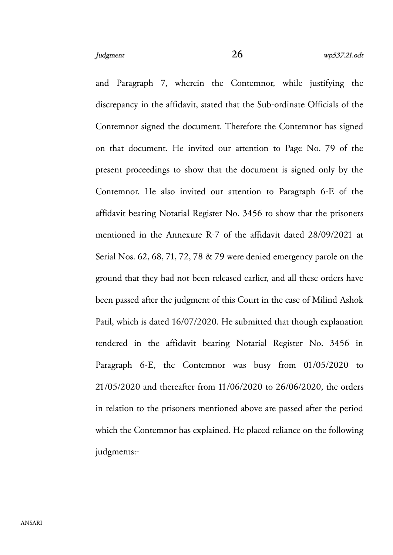and Paragraph 7, wherein the Contemnor, while justifying the discrepancy in the affidavit, stated that the Sub-ordinate Officials of the Contemnor signed the document. Therefore the Contemnor has signed on that document. He invited our attention to Page No. 79 of the present proceedings to show that the document is signed only by the Contemnor. He also invited our attention to Paragraph 6-E of the affidavit bearing Notarial Register No. 3456 to show that the prisoners mentioned in the Annexure R-7 of the affidavit dated 28/09/2021 at Serial Nos. 62, 68, 71, 72, 78 & 79 were denied emergency parole on the ground that they had not been released earlier, and all these orders have been passed after the judgment of this Court in the case of Milind Ashok Patil, which is dated 16/07/2020. He submitted that though explanation tendered in the affidavit bearing Notarial Register No. 3456 in Paragraph 6-E, the Contemnor was busy from 01/05/2020 to 21/05/2020 and thereafter from 11/06/2020 to 26/06/2020, the orders in relation to the prisoners mentioned above are passed after the period which the Contemnor has explained. He placed reliance on the following judgments:-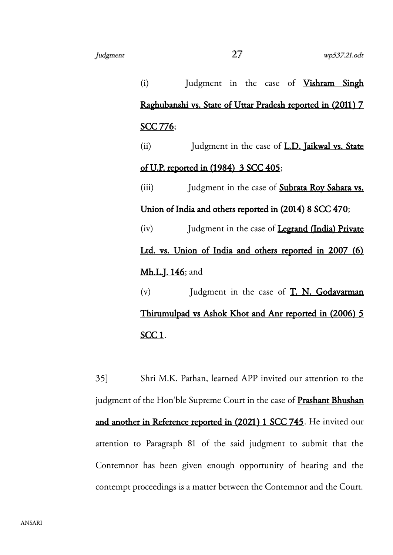(i) Judgment in the case of Vishram Singh Raghubanshi vs. State of Uttar Pradesh reported in (2011) 7 SCC 776; (ii) Judgment in the case of **L.D. Jaikwal vs. State** of U.P. reported in (1984) 3 SCC 405; (iii) Judgment in the case of **Subrata Roy Sahara vs.** Union of India and others reported in (2014) 8 SCC 470; (iv) Judgment in the case of Legrand (India) Private Ltd. vs. Union of India and others reported in 2007 (6) Mh.L.J. 146; and (v)  $Judgment$  in the case of  $T. N. Godavarman$ Thirumulpad vs Ashok Khot and Anr reported in (2006) 5 SCC 1.

35] Shri M.K. Pathan, learned APP invited our attention to the judgment of the Hon'ble Supreme Court in the case of **Prashant Bhushan** and another in Reference reported in (2021) 1 SCC 745. He invited our attention to Paragraph 81 of the said judgment to submit that the Contemnor has been given enough opportunity of hearing and the contempt proceedings is a matter between the Contemnor and the Court.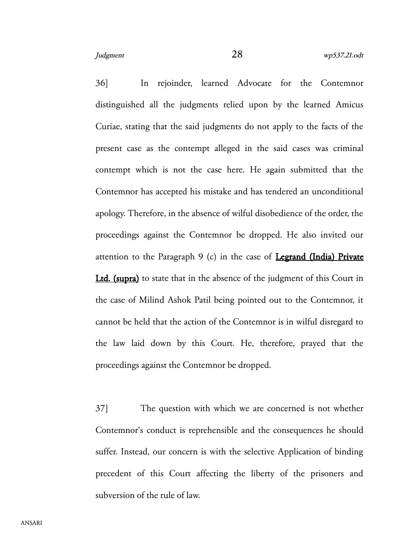36] In rejoinder, learned Advocate for the Contemnor distinguished all the judgments relied upon by the learned Amicus Curiae, stating that the said judgments do not apply to the facts of the present case as the contempt alleged in the said cases was criminal contempt which is not the case here. He again submitted that the Contemnor has accepted his mistake and has tendered an unconditional apology. Therefore, in the absence of wilful disobedience of the order, the proceedings against the Contemnor be dropped. He also invited our attention to the Paragraph  $9$  (c) in the case of **Legrand (India) Private** Ltd. (supra) to state that in the absence of the judgment of this Court in the case of Milind Ashok Patil being pointed out to the Contemnor, it cannot be held that the action of the Contemnor is in wilful disregard to the law laid down by this Court. He, therefore, prayed that the proceedings against the Contemnor be dropped.

37] The question with which we are concerned is not whether Contemnor's conduct is reprehensible and the consequences he should suffer. Instead, our concern is with the selective Application of binding precedent of this Court affecting the liberty of the prisoners and subversion of the rule of law.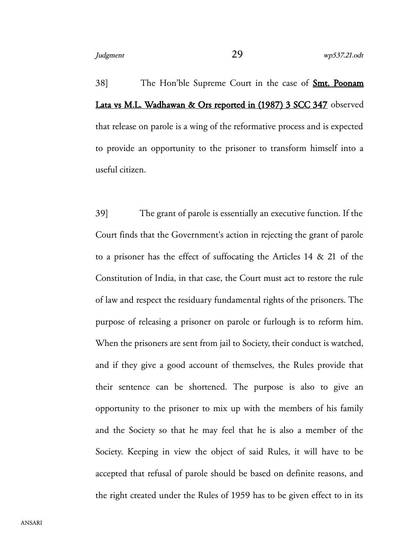38] The Hon'ble Supreme Court in the case of Smt. Poonam Lata vs M.L. Wadhawan & Ors reported in (1987) 3 SCC 347 observed that release on parole is a wing of the reformative process and is expected to provide an opportunity to the prisoner to transform himself into a useful citizen.

39] The grant of parole is essentially an executive function. If the Court finds that the Government's action in rejecting the grant of parole to a prisoner has the effect of suffocating the Articles 14 & 21 of the Constitution of India, in that case, the Court must act to restore the rule of law and respect the residuary fundamental rights of the prisoners. The purpose of releasing a prisoner on parole or furlough is to reform him. When the prisoners are sent from jail to Society, their conduct is watched, and if they give a good account of themselves, the Rules provide that their sentence can be shortened. The purpose is also to give an opportunity to the prisoner to mix up with the members of his family and the Society so that he may feel that he is also a member of the Society. Keeping in view the object of said Rules, it will have to be accepted that refusal of parole should be based on definite reasons, and the right created under the Rules of 1959 has to be given effect to in its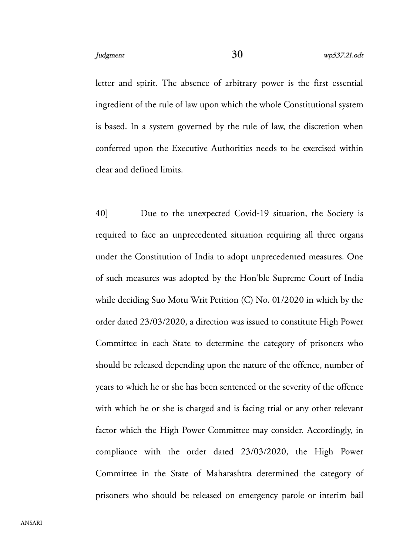letter and spirit. The absence of arbitrary power is the first essential ingredient of the rule of law upon which the whole Constitutional system is based. In a system governed by the rule of law, the discretion when conferred upon the Executive Authorities needs to be exercised within clear and defined limits.

40] Due to the unexpected Covid-19 situation, the Society is required to face an unprecedented situation requiring all three organs under the Constitution of India to adopt unprecedented measures. One of such measures was adopted by the Hon'ble Supreme Court of India while deciding Suo Motu Writ Petition (C) No. 01/2020 in which by the order dated 23/03/2020, a direction was issued to constitute High Power Committee in each State to determine the category of prisoners who should be released depending upon the nature of the offence, number of years to which he or she has been sentenced or the severity of the offence with which he or she is charged and is facing trial or any other relevant factor which the High Power Committee may consider. Accordingly, in compliance with the order dated 23/03/2020, the High Power Committee in the State of Maharashtra determined the category of prisoners who should be released on emergency parole or interim bail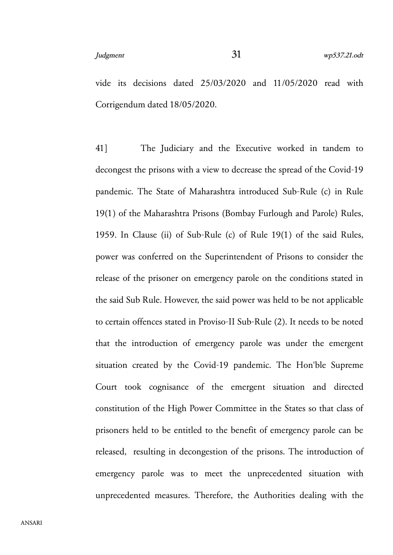vide its decisions dated 25/03/2020 and 11/05/2020 read with Corrigendum dated 18/05/2020.

41] The Judiciary and the Executive worked in tandem to decongest the prisons with a view to decrease the spread of the Covid-19 pandemic. The State of Maharashtra introduced Sub-Rule (c) in Rule 19(1) of the Maharashtra Prisons (Bombay Furlough and Parole) Rules, 1959. In Clause (ii) of Sub-Rule (c) of Rule 19(1) of the said Rules, power was conferred on the Superintendent of Prisons to consider the release of the prisoner on emergency parole on the conditions stated in the said Sub Rule. However, the said power was held to be not applicable to certain offences stated in Proviso-II Sub-Rule (2). It needs to be noted that the introduction of emergency parole was under the emergent situation created by the Covid-19 pandemic. The Hon'ble Supreme Court took cognisance of the emergent situation and directed constitution of the High Power Committee in the States so that class of prisoners held to be entitled to the benefit of emergency parole can be released, resulting in decongestion of the prisons. The introduction of emergency parole was to meet the unprecedented situation with unprecedented measures. Therefore, the Authorities dealing with the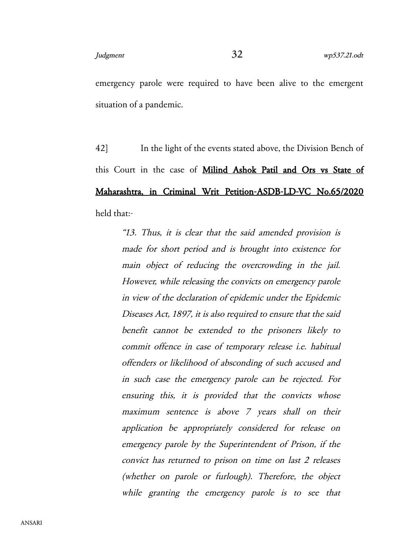emergency parole were required to have been alive to the emergent situation of a pandemic.

42] In the light of the events stated above, the Division Bench of this Court in the case of Milind Ashok Patil and Ors vs State of Maharashtra, in Criminal Writ Petition-ASDB-LD-VC No.65/2020 held that:-

> "13. Thus, it is clear that the said amended provision is made for short period and is brought into existence for main object of reducing the overcrowding in the jail. However, while releasing the convicts on emergency parole in view of the declaration of epidemic under the Epidemic Diseases Act, 1897, it is also required to ensure that the said benefit cannot be extended to the prisoners likely to commit offence in case of temporary release i.e. habitual offenders or likelihood of absconding of such accused and in such case the emergency parole can be rejected. For ensuring this, it is provided that the convicts whose maximum sentence is above 7 years shall on their application be appropriately considered for release on emergency parole by the Superintendent of Prison, if the convict has returned to prison on time on last 2 releases (whether on parole or furlough). Therefore, the object while granting the emergency parole is to see that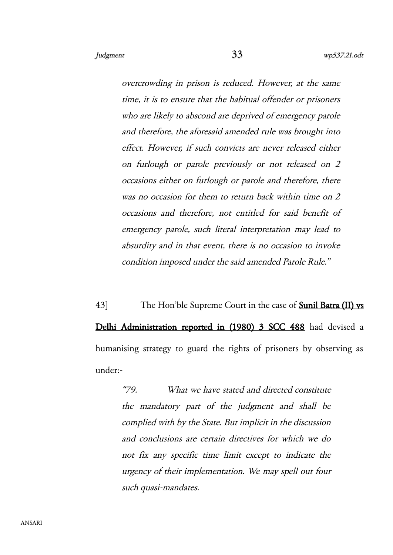overcrowding in prison is reduced. However, at the same time, it is to ensure that the habitual offender or prisoners who are likely to abscond are deprived of emergency parole and therefore, the aforesaid amended rule was brought into effect. However, if such convicts are never released either on furlough or parole previously or not released on <sup>2</sup> occasions either on furlough or parole and therefore, there was no occasion for them to return back within time on 2 occasions and therefore, not entitled for said benefit of emergency parole, such literal interpretation may lead to absurdity and in that event, there is no occasion to invoke condition imposed under the said amended Parole Rule."

43] The Hon'ble Supreme Court in the case of **Sunil Batra (II) vs** Delhi Administration reported in (1980) 3 SCC 488 had devised a humanising strategy to guard the rights of prisoners by observing as under:-

> "79. What we have stated and directed constitute the mandatory part of the judgment and shall be complied with by the State. But implicit in the discussion and conclusions are certain directives for which we do not fix any specific time limit except to indicate the urgency of their implementation. We may spell out four such quasi-mandates.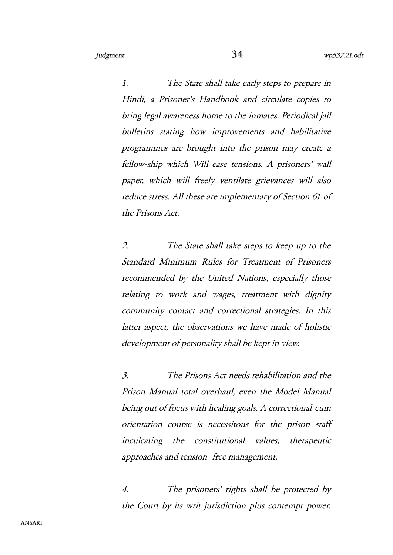1. The State shall take early steps to prepare in Hindi, <sup>a</sup> Prisoner's Handbook and circulate copies to bring legal awareness home to the inmates. Periodical jail bulletins stating how improvements and habilitative programmes are brought into the prison may create a fellow-ship which Will ease tensions. A prisoners' wall paper, which will freely ventilate grievances will also reduce stress. All these are implementary of Section 61 of the Prisons Act.

2. The State shall take steps to keep up to the Standard Minimum Rules for Treatment of Prisoners recommended by the United Nations, especially those relating to work and wages, treatment with dignity community contact and correctional strategies. In this latter aspect, the observations we have made of holistic development of personality shall be kept in view.

3. The Prisons Act needs rehabilitation and the Prison Manual total overhaul, even the Model Manual being out of focus with healing goals. A correctional-cum orientation course is necessitous for the prison staff inculcating the constitutional values, therapeutic approaches and tension- free management.

4. The prisoners' rights shall be protected by the Court by its writ jurisdiction plus contempt power.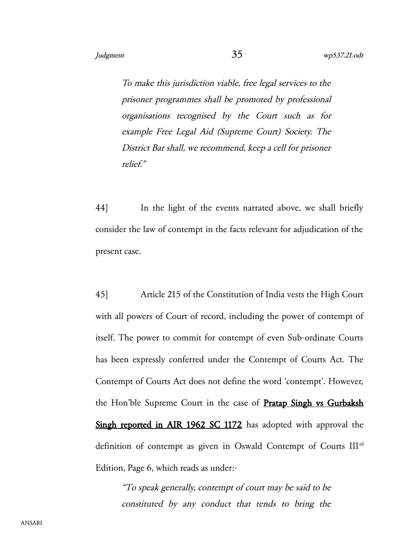To make this jurisdiction viable, free legal services to the prisoner programmes shall be promoted by professional organisations recognised by the Court such as for example Free Legal Aid (Supreme Court) Society. The District Bar shall, we recommend, keep a cell for prisoner relief."

44] In the light of the events narrated above, we shall briefly consider the law of contempt in the facts relevant for adjudication of the present case.

45] Article 215 of the Constitution of India vests the High Court with all powers of Court of record, including the power of contempt of itself. The power to commit for contempt of even Sub-ordinate Courts has been expressly conferred under the Contempt of Courts Act. The Contempt of Courts Act does not define the word 'contempt'. However, the Hon'ble Supreme Court in the case of **Pratap Singh vs Gurbaksh** Singh reported in AIR 1962 SC 1172 has adopted with approval the definition of contempt as given in Oswald Contempt of Courts IIIrd Edition, Page 6, which reads as under:-

"To speak generally, contempt of court may be said to be constituted by any conduct that tends to bring the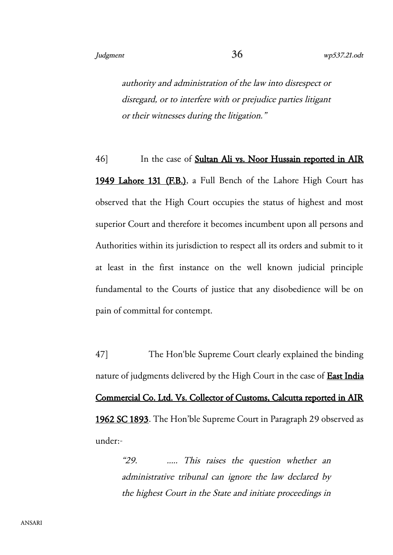authority and administration of the law into disrespect or disregard, or to interfere with or prejudice parties litigant or their witnesses during the litigation."

46] In the case of **Sultan Ali vs. Noor Hussain reported in AIR** 1949 Lahore 131 (F.B.), a Full Bench of the Lahore High Court has observed that the High Court occupies the status of highest and most superior Court and therefore it becomes incumbent upon all persons and Authorities within its jurisdiction to respect all its orders and submit to it at least in the first instance on the well known judicial principle fundamental to the Courts of justice that any disobedience will be on pain of committal for contempt.

47] The Hon'ble Supreme Court clearly explained the binding nature of judgments delivered by the High Court in the case of **East India** Commercial Co. Ltd. Vs. Collector of Customs, Calcutta reported in AIR 1962 SC 1893. The Hon'ble Supreme Court in Paragraph 29 observed as under:-

> "29. ..... This raises the question whether an administrative tribunal can ignore the law declared by the highest Court in the State and initiate proceedings in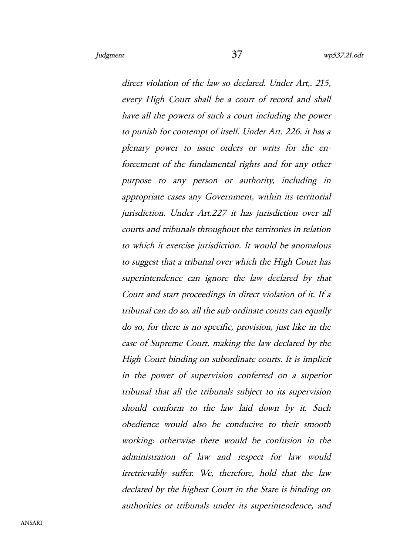direct violation of the law so declared. Under Art., 215, every High Court shall be a court of record and shall have all the powers of such a court including the power to punish for contempt of itself. Under Art. 226, it has a plenary power to issue orders or writs for the enforcement of the fundamental rights and for any other purpose to any person or authority, including in appropriate cases any Government, within its territorial jurisdiction. Under Art.227 it has jurisdiction over all courts and tribunals throughout the territories in relation to which it exercise jurisdiction. It would be anomalous to suggest that a tribunal over which the High Court has superintendence can ignore the law declared by that Court and start proceedings in direct violation of it. If a tribunal can do so, all the sub-ordinate courts can equally do so, for there is no specific, provision, just like in the case of Supreme Court, making the law declared by the High Court binding on subordinate courts. It is implicit in the power of supervision conferred on <sup>a</sup> superior tribunal that all the tribunals subject to its supervision should conform to the law laid down by it. Such obedience would also be conducive to their smooth working: otherwise there would be confusion in the administration of law and respect for law would irretrievably suffer. We, therefore, hold that the law declared by the highest Court in the State is binding on authorities or tribunals under its superintendence, and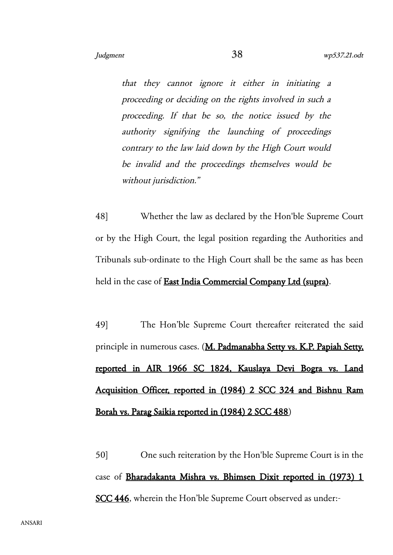that they cannot ignore it either in initiating <sup>a</sup> proceeding or deciding on the rights involved in such a proceeding. If that be so, the notice issued by the authority signifying the launching of proceedings contrary to the law laid down by the High Court would be invalid and the proceedings themselves would be without jurisdiction."

48] Whether the law as declared by the Hon'ble Supreme Court or by the High Court, the legal position regarding the Authorities and Tribunals sub-ordinate to the High Court shall be the same as has been held in the case of **East India Commercial Company Ltd (supra)**.

49] The Hon'ble Supreme Court thereafter reiterated the said principle in numerous cases. (M. Padmanabha Setty vs. K.P. Papiah Setty, reported in AIR 1966 SC 1824, Kauslaya Devi Bogra vs. Land Acquisition Officer, reported in (1984) 2 SCC 324 and Bishnu Ram Borah vs. Parag Saikia reported in (1984) 2 SCC 488)

50] One such reiteration by the Hon'ble Supreme Court is in the case of Bharadakanta Mishra vs. Bhimsen Dixit reported in (1973) 1 SCC 446, wherein the Hon'ble Supreme Court observed as under:-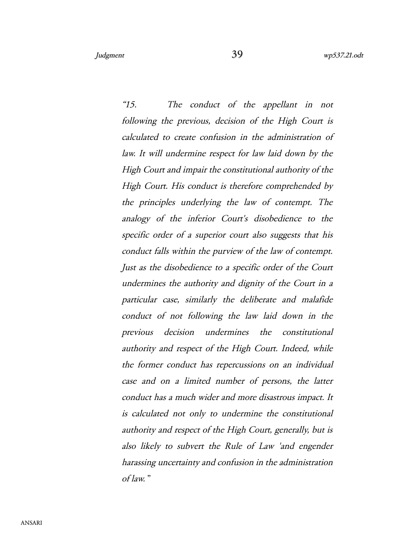"15. The conduct of the appellant in not following the previous, decision of the High Court is calculated to create confusion in the administration of law. It will undermine respect for law laid down by the High Court and impair the constitutional authority of the High Court. His conduct is therefore comprehended by the principles underlying the law of contempt. The analogy of the inferior Court's disobedience to the specific order of a superior court also suggests that his conduct falls within the purview of the law of contempt. Just as the disobedience to a specific order of the Court undermines the authority and dignity of the Court in a particular case, similarly the deliberate and malafide conduct of not following the law laid down in the previous decision undermines the constitutional authority and respect of the High Court. Indeed, while the former conduct has repercussions on an individual case and on <sup>a</sup> limited number of persons, the latter conduct has a much wider and more disastrous impact. It is calculated not only to undermine the constitutional authority and respect of the High Court, generally, but is also likely to subvert the Rule of Law 'and engender harassing uncertainty and confusion in the administration of law. "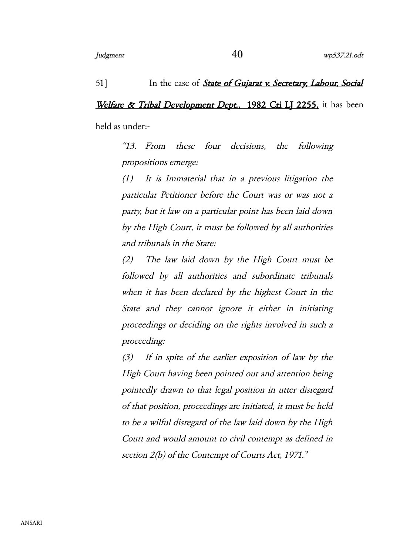## 51] In the case of *State of Gujarat v. Secretary, Labour, Social*

## Welfare & Tribal Development Dept., 1982 Cri LJ 2255, it has been

held as under:-

"13. From these four decisions, the following propositions emerge:

(1) It is Immaterial that in <sup>a</sup> previous litigation the particular Petitioner before the Court was or was not a party, but it law on a particular point has been laid down by the High Court, it must be followed by all authorities and tribunals in the State:

(2) The law laid down by the High Court must be followed by all authorities and subordinate tribunals when it has been declared by the highest Court in the State and they cannot ignore it either in initiating proceedings or deciding on the rights involved in such a proceeding:

(3) If in spite of the earlier exposition of law by the High Court having been pointed out and attention being pointedly drawn to that legal position in utter disregard of that position, proceedings are initiated, it must be held to be a wilful disregard of the law laid down by the High Court and would amount to civil contempt as defined in section 2(b) of the Contempt of Courts Act, 1971."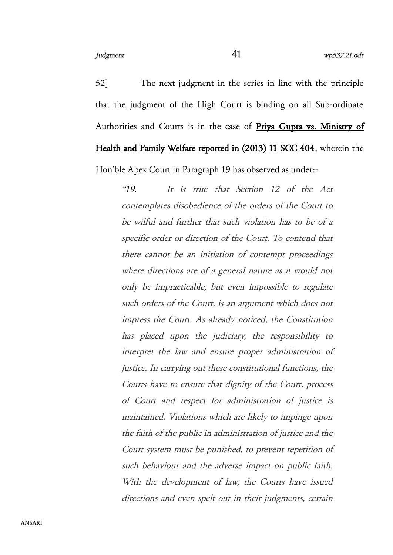52] The next judgment in the series in line with the principle that the judgment of the High Court is binding on all Sub-ordinate Authorities and Courts is in the case of Priya Gupta vs. Ministry of Health and Family Welfare reported in (2013) 11 SCC 404, wherein the Hon'ble Apex Court in Paragraph 19 has observed as under:-

"19. It is true that Section <sup>12</sup> of the Act contemplates disobedience of the orders of the Court to be wilful and further that such violation has to be of a specific order or direction of the Court. To contend that there cannot be an initiation of contempt proceedings where directions are of a general nature as it would not only be impracticable, but even impossible to regulate such orders of the Court, is an argument which does not impress the Court. As already noticed, the Constitution has placed upon the judiciary, the responsibility to interpret the law and ensure proper administration of justice. In carrying out these constitutional functions, the Courts have to ensure that dignity of the Court, process of Court and respect for administration of justice is maintained. Violations which are likely to impinge upon the faith of the public in administration of justice and the Court system must be punished, to prevent repetition of such behaviour and the adverse impact on public faith. With the development of law, the Courts have issued directions and even spelt out in their judgments, certain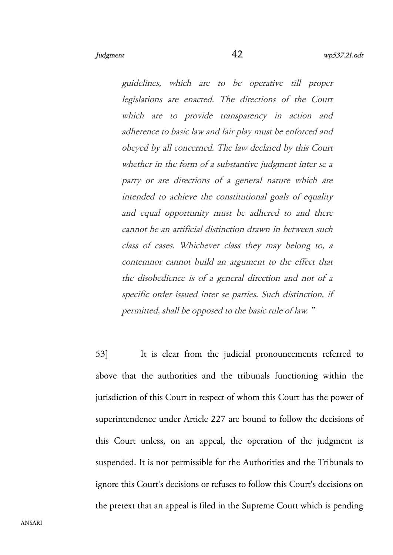guidelines, which are to be operative till proper legislations are enacted. The directions of the Court which are to provide transparency in action and adherence to basic law and fair play must be enforced and obeyed by all concerned. The law declared by this Court whether in the form of a substantive judgment inter se a party or are directions of <sup>a</sup> general nature which are intended to achieve the constitutional goals of equality and equal opportunity must be adhered to and there cannot be an artificial distinction drawn in between such class of cases. Whichever class they may belong to, <sup>a</sup> contemnor cannot build an argument to the effect that the disobedience is of a general direction and not of a specific order issued inter se parties. Such distinction, if permitted, shall be opposed to the basic rule of law. "

53] It is clear from the judicial pronouncements referred to above that the authorities and the tribunals functioning within the jurisdiction of this Court in respect of whom this Court has the power of superintendence under Article 227 are bound to follow the decisions of this Court unless, on an appeal, the operation of the judgment is suspended. It is not permissible for the Authorities and the Tribunals to ignore this Court's decisions or refuses to follow this Court's decisions on the pretext that an appeal is filed in the Supreme Court which is pending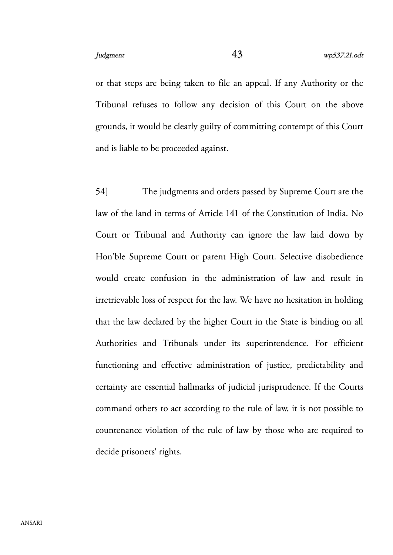or that steps are being taken to file an appeal. If any Authority or the Tribunal refuses to follow any decision of this Court on the above grounds, it would be clearly guilty of committing contempt of this Court and is liable to be proceeded against.

54] The judgments and orders passed by Supreme Court are the law of the land in terms of Article 141 of the Constitution of India. No Court or Tribunal and Authority can ignore the law laid down by Hon'ble Supreme Court or parent High Court. Selective disobedience would create confusion in the administration of law and result in irretrievable loss of respect for the law. We have no hesitation in holding that the law declared by the higher Court in the State is binding on all Authorities and Tribunals under its superintendence. For efficient functioning and effective administration of justice, predictability and certainty are essential hallmarks of judicial jurisprudence. If the Courts command others to act according to the rule of law, it is not possible to countenance violation of the rule of law by those who are required to decide prisoners' rights.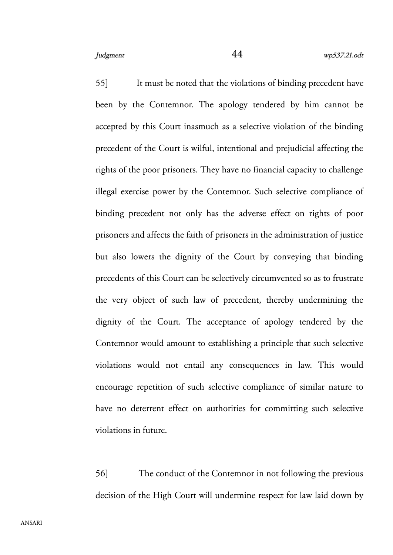55] It must be noted that the violations of binding precedent have been by the Contemnor. The apology tendered by him cannot be accepted by this Court inasmuch as a selective violation of the binding precedent of the Court is wilful, intentional and prejudicial affecting the rights of the poor prisoners. They have no financial capacity to challenge illegal exercise power by the Contemnor. Such selective compliance of binding precedent not only has the adverse effect on rights of poor prisoners and affects the faith of prisoners in the administration of justice but also lowers the dignity of the Court by conveying that binding precedents of this Court can be selectively circumvented so as to frustrate the very object of such law of precedent, thereby undermining the dignity of the Court. The acceptance of apology tendered by the Contemnor would amount to establishing a principle that such selective violations would not entail any consequences in law. This would encourage repetition of such selective compliance of similar nature to have no deterrent effect on authorities for committing such selective violations in future.

56] The conduct of the Contemnor in not following the previous decision of the High Court will undermine respect for law laid down by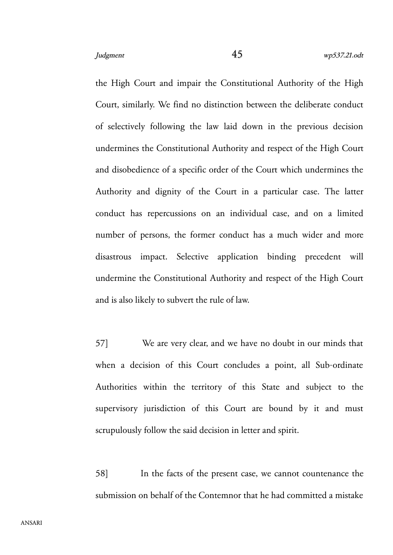the High Court and impair the Constitutional Authority of the High Court, similarly. We find no distinction between the deliberate conduct of selectively following the law laid down in the previous decision undermines the Constitutional Authority and respect of the High Court and disobedience of a specific order of the Court which undermines the Authority and dignity of the Court in a particular case. The latter conduct has repercussions on an individual case, and on a limited number of persons, the former conduct has a much wider and more disastrous impact. Selective application binding precedent will undermine the Constitutional Authority and respect of the High Court and is also likely to subvert the rule of law.

57] We are very clear, and we have no doubt in our minds that when a decision of this Court concludes a point, all Sub-ordinate Authorities within the territory of this State and subject to the supervisory jurisdiction of this Court are bound by it and must scrupulously follow the said decision in letter and spirit.

58] In the facts of the present case, we cannot countenance the submission on behalf of the Contemnor that he had committed a mistake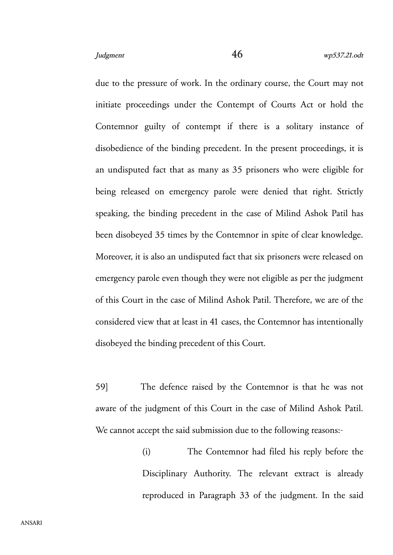due to the pressure of work. In the ordinary course, the Court may not initiate proceedings under the Contempt of Courts Act or hold the Contemnor guilty of contempt if there is a solitary instance of disobedience of the binding precedent. In the present proceedings, it is an undisputed fact that as many as 35 prisoners who were eligible for being released on emergency parole were denied that right. Strictly speaking, the binding precedent in the case of Milind Ashok Patil has been disobeyed 35 times by the Contemnor in spite of clear knowledge. Moreover, it is also an undisputed fact that six prisoners were released on emergency parole even though they were not eligible as per the judgment of this Court in the case of Milind Ashok Patil. Therefore, we are of the considered view that at least in 41 cases, the Contemnor has intentionally disobeyed the binding precedent of this Court.

59] The defence raised by the Contemnor is that he was not aware of the judgment of this Court in the case of Milind Ashok Patil. We cannot accept the said submission due to the following reasons:-

> (i) The Contemnor had filed his reply before the Disciplinary Authority. The relevant extract is already reproduced in Paragraph 33 of the judgment. In the said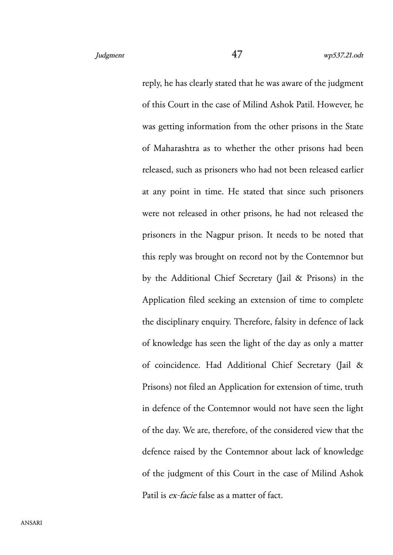reply, he has clearly stated that he was aware of the judgment of this Court in the case of Milind Ashok Patil. However, he was getting information from the other prisons in the State of Maharashtra as to whether the other prisons had been released, such as prisoners who had not been released earlier at any point in time. He stated that since such prisoners were not released in other prisons, he had not released the prisoners in the Nagpur prison. It needs to be noted that this reply was brought on record not by the Contemnor but by the Additional Chief Secretary (Jail & Prisons) in the Application filed seeking an extension of time to complete the disciplinary enquiry. Therefore, falsity in defence of lack of knowledge has seen the light of the day as only a matter of coincidence. Had Additional Chief Secretary (Jail & Prisons) not filed an Application for extension of time, truth in defence of the Contemnor would not have seen the light of the day. We are, therefore, of the considered view that the defence raised by the Contemnor about lack of knowledge of the judgment of this Court in the case of Milind Ashok Patil is ex-facie false as a matter of fact.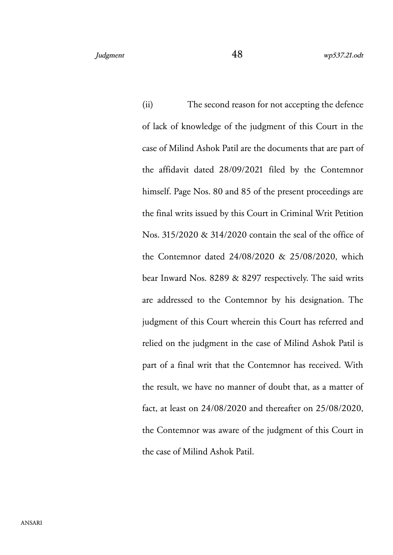(ii) The second reason for not accepting the defence of lack of knowledge of the judgment of this Court in the case of Milind Ashok Patil are the documents that are part of the affidavit dated 28/09/2021 filed by the Contemnor himself. Page Nos. 80 and 85 of the present proceedings are the final writs issued by this Court in Criminal Writ Petition Nos. 315/2020 & 314/2020 contain the seal of the office of the Contemnor dated 24/08/2020 & 25/08/2020, which bear Inward Nos. 8289 & 8297 respectively. The said writs are addressed to the Contemnor by his designation. The judgment of this Court wherein this Court has referred and relied on the judgment in the case of Milind Ashok Patil is part of a final writ that the Contemnor has received. With the result, we have no manner of doubt that, as a matter of fact, at least on 24/08/2020 and thereafter on 25/08/2020, the Contemnor was aware of the judgment of this Court in the case of Milind Ashok Patil.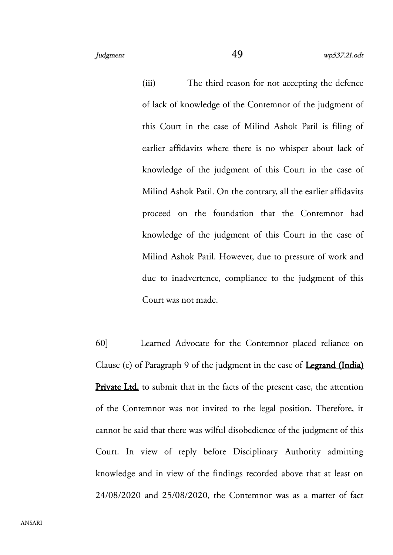(iii) The third reason for not accepting the defence of lack of knowledge of the Contemnor of the judgment of this Court in the case of Milind Ashok Patil is filing of earlier affidavits where there is no whisper about lack of knowledge of the judgment of this Court in the case of Milind Ashok Patil. On the contrary, all the earlier affidavits proceed on the foundation that the Contemnor had knowledge of the judgment of this Court in the case of Milind Ashok Patil. However, due to pressure of work and due to inadvertence, compliance to the judgment of this Court was not made.

60] Learned Advocate for the Contemnor placed reliance on Clause (c) of Paragraph 9 of the judgment in the case of **Legrand (India)** Private Ltd. to submit that in the facts of the present case, the attention of the Contemnor was not invited to the legal position. Therefore, it cannot be said that there was wilful disobedience of the judgment of this Court. In view of reply before Disciplinary Authority admitting knowledge and in view of the findings recorded above that at least on 24/08/2020 and 25/08/2020, the Contemnor was as a matter of fact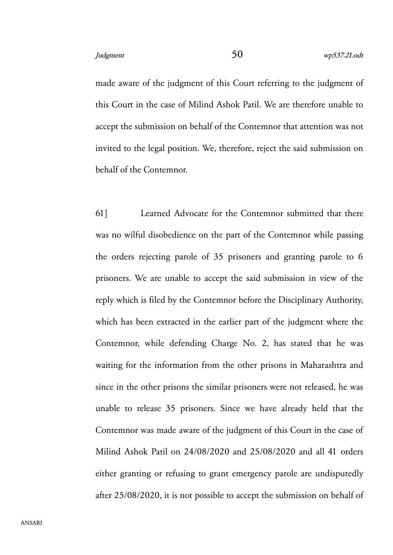made aware of the judgment of this Court referring to the judgment of this Court in the case of Milind Ashok Patil. We are therefore unable to accept the submission on behalf of the Contemnor that attention was not invited to the legal position. We, therefore, reject the said submission on behalf of the Contemnor.

61] Learned Advocate for the Contemnor submitted that there was no wilful disobedience on the part of the Contemnor while passing the orders rejecting parole of 35 prisoners and granting parole to 6 prisoners. We are unable to accept the said submission in view of the reply which is filed by the Contemnor before the Disciplinary Authority, which has been extracted in the earlier part of the judgment where the Contemnor, while defending Charge No. 2, has stated that he was waiting for the information from the other prisons in Maharashtra and since in the other prisons the similar prisoners were not released, he was unable to release 35 prisoners. Since we have already held that the Contemnor was made aware of the judgment of this Court in the case of Milind Ashok Patil on 24/08/2020 and 25/08/2020 and all 41 orders either granting or refusing to grant emergency parole are undisputedly after 25/08/2020, it is not possible to accept the submission on behalf of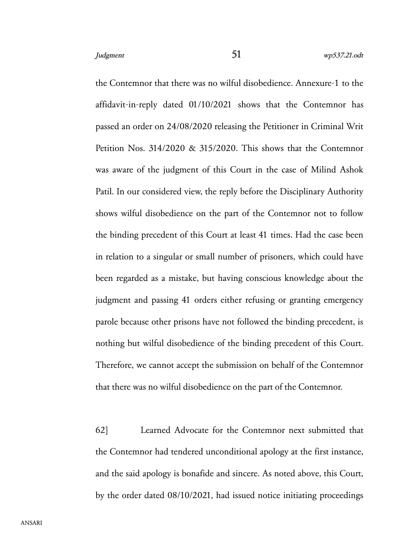the Contemnor that there was no wilful disobedience. Annexure-1 to the affidavit-in-reply dated 01/10/2021 shows that the Contemnor has passed an order on 24/08/2020 releasing the Petitioner in Criminal Writ Petition Nos. 314/2020 & 315/2020. This shows that the Contemnor was aware of the judgment of this Court in the case of Milind Ashok Patil. In our considered view, the reply before the Disciplinary Authority shows wilful disobedience on the part of the Contemnor not to follow the binding precedent of this Court at least 41 times. Had the case been in relation to a singular or small number of prisoners, which could have been regarded as a mistake, but having conscious knowledge about the judgment and passing 41 orders either refusing or granting emergency parole because other prisons have not followed the binding precedent, is nothing but wilful disobedience of the binding precedent of this Court. Therefore, we cannot accept the submission on behalf of the Contemnor that there was no wilful disobedience on the part of the Contemnor.

62] Learned Advocate for the Contemnor next submitted that the Contemnor had tendered unconditional apology at the first instance, and the said apology is bonafide and sincere. As noted above, this Court, by the order dated 08/10/2021, had issued notice initiating proceedings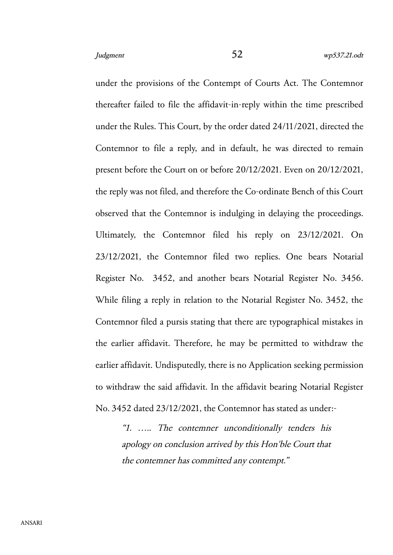under the provisions of the Contempt of Courts Act. The Contemnor thereafter failed to file the affidavit-in-reply within the time prescribed under the Rules. This Court, by the order dated 24/11/2021, directed the Contemnor to file a reply, and in default, he was directed to remain present before the Court on or before 20/12/2021. Even on 20/12/2021, the reply was not filed, and therefore the Co-ordinate Bench of this Court observed that the Contemnor is indulging in delaying the proceedings. Ultimately, the Contemnor filed his reply on 23/12/2021. On 23/12/2021, the Contemnor filed two replies. One bears Notarial Register No. 3452, and another bears Notarial Register No. 3456. While filing a reply in relation to the Notarial Register No. 3452, the Contemnor filed a pursis stating that there are typographical mistakes in the earlier affidavit. Therefore, he may be permitted to withdraw the earlier affidavit. Undisputedly, there is no Application seeking permission to withdraw the said affidavit. In the affidavit bearing Notarial Register No. 3452 dated 23/12/2021, the Contemnor has stated as under:-

"1. ….. The contemner unconditionally tenders his apology on conclusion arrived by this Hon'ble Court that the contemner has committed any contempt."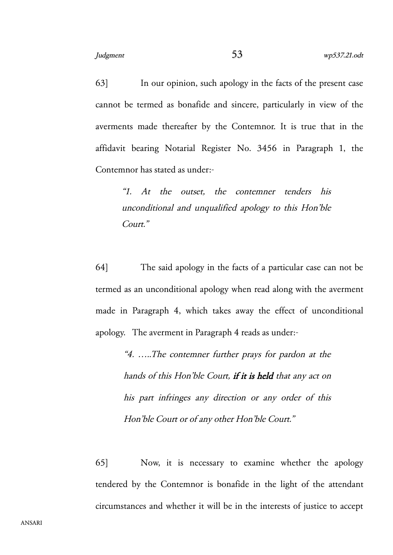63] In our opinion, such apology in the facts of the present case cannot be termed as bonafide and sincere, particularly in view of the averments made thereafter by the Contemnor. It is true that in the affidavit bearing Notarial Register No. 3456 in Paragraph 1, the Contemnor has stated as under:-

"1. At the outset, the contemner tenders his unconditional and unqualified apology to this Hon'ble Court."

64] The said apology in the facts of a particular case can not be termed as an unconditional apology when read along with the averment made in Paragraph 4, which takes away the effect of unconditional apology. The averment in Paragraph 4 reads as under:-

> "4. …..The contemner further prays for pardon at the hands of this Hon'ble Court, if it is held that any act on his part infringes any direction or any order of this Hon'ble Court or of any other Hon'ble Court."

65] Now, it is necessary to examine whether the apology tendered by the Contemnor is bonafide in the light of the attendant circumstances and whether it will be in the interests of justice to accept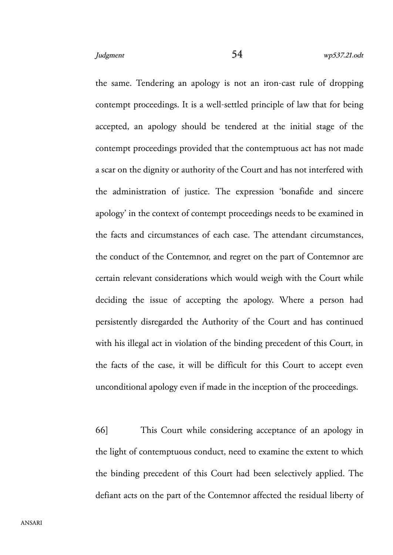the same. Tendering an apology is not an iron-cast rule of dropping contempt proceedings. It is a well-settled principle of law that for being accepted, an apology should be tendered at the initial stage of the contempt proceedings provided that the contemptuous act has not made a scar on the dignity or authority of the Court and has not interfered with the administration of justice. The expression 'bonafide and sincere apology' in the context of contempt proceedings needs to be examined in the facts and circumstances of each case. The attendant circumstances, the conduct of the Contemnor, and regret on the part of Contemnor are certain relevant considerations which would weigh with the Court while deciding the issue of accepting the apology. Where a person had persistently disregarded the Authority of the Court and has continued with his illegal act in violation of the binding precedent of this Court, in the facts of the case, it will be difficult for this Court to accept even unconditional apology even if made in the inception of the proceedings.

66] This Court while considering acceptance of an apology in the light of contemptuous conduct, need to examine the extent to which the binding precedent of this Court had been selectively applied. The defiant acts on the part of the Contemnor affected the residual liberty of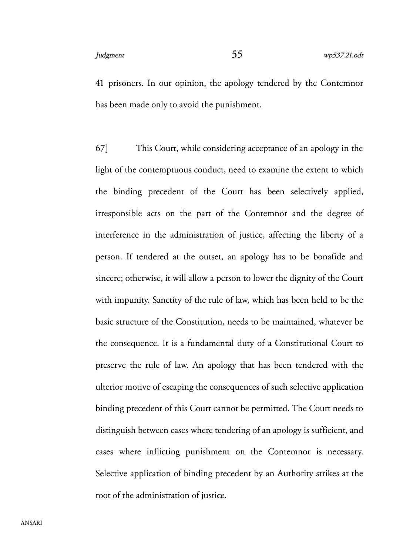41 prisoners. In our opinion, the apology tendered by the Contemnor has been made only to avoid the punishment.

67] This Court, while considering acceptance of an apology in the light of the contemptuous conduct, need to examine the extent to which the binding precedent of the Court has been selectively applied, irresponsible acts on the part of the Contemnor and the degree of interference in the administration of justice, affecting the liberty of a person. If tendered at the outset, an apology has to be bonafide and sincere; otherwise, it will allow a person to lower the dignity of the Court with impunity. Sanctity of the rule of law, which has been held to be the basic structure of the Constitution, needs to be maintained, whatever be the consequence. It is a fundamental duty of a Constitutional Court to preserve the rule of law. An apology that has been tendered with the ulterior motive of escaping the consequences of such selective application binding precedent of this Court cannot be permitted. The Court needs to distinguish between cases where tendering of an apology is sufficient, and cases where inflicting punishment on the Contemnor is necessary. Selective application of binding precedent by an Authority strikes at the root of the administration of justice.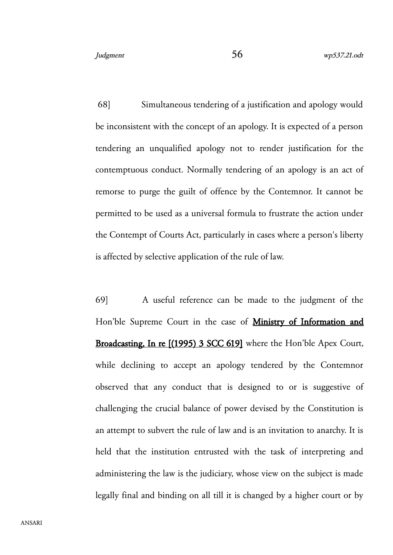68] Simultaneous tendering of a justification and apology would be inconsistent with the concept of an apology. It is expected of a person tendering an unqualified apology not to render justification for the contemptuous conduct. Normally tendering of an apology is an act of remorse to purge the guilt of offence by the Contemnor. It cannot be permitted to be used as a universal formula to frustrate the action under the Contempt of Courts Act, particularly in cases where a person's liberty is affected by selective application of the rule of law.

69] A useful reference can be made to the judgment of the Hon'ble Supreme Court in the case of **Ministry of Information and** Broadcasting, In re [(1995) 3 SCC 619] where the Hon'ble Apex Court, while declining to accept an apology tendered by the Contemnor observed that any conduct that is designed to or is suggestive of challenging the crucial balance of power devised by the Constitution is an attempt to subvert the rule of law and is an invitation to anarchy. It is held that the institution entrusted with the task of interpreting and administering the law is the judiciary, whose view on the subject is made legally final and binding on all till it is changed by a higher court or by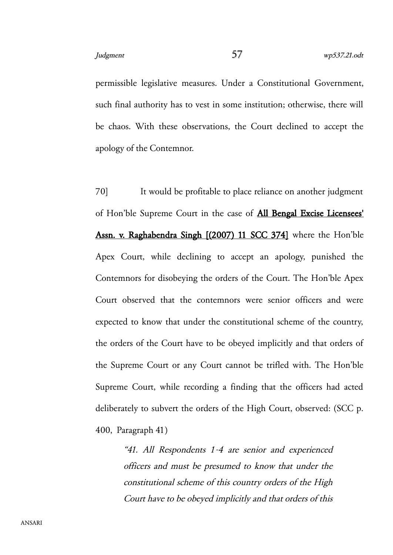permissible legislative measures. Under a Constitutional Government, such final authority has to vest in some institution; otherwise, there will be chaos. With these observations, the Court declined to accept the apology of the Contemnor.

70] It would be profitable to place reliance on another judgment of Hon'ble Supreme Court in the case of All Bengal Excise Licensees' Assn. v. Raghabendra Singh [(2007) 11 SCC 374] where the Hon'ble Apex Court, while declining to accept an apology, punished the Contemnors for disobeying the orders of the Court. The Hon'ble Apex Court observed that the contemnors were senior officers and were expected to know that under the constitutional scheme of the country, the orders of the Court have to be obeyed implicitly and that orders of the Supreme Court or any Court cannot be trifled with. The Hon'ble Supreme Court, while recording a finding that the officers had acted deliberately to subvert the orders of the High Court, observed: (SCC p. 400, Paragraph 41)

> "41. All Respondents 1-4 are senior and experienced officers and must be presumed to know that under the constitutional scheme of this country orders of the High Court have to be obeyed implicitly and that orders of this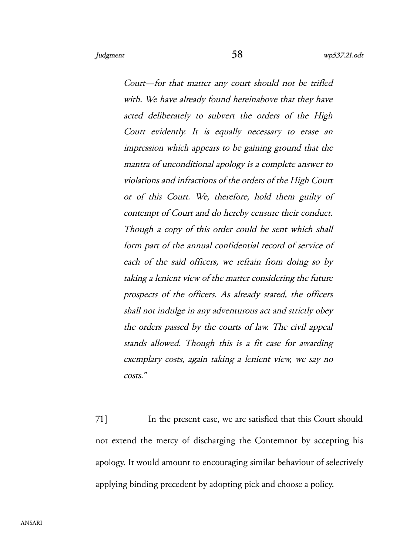Court—for that matter any court should not be trifled with. We have already found hereinabove that they have acted deliberately to subvert the orders of the High Court evidently. It is equally necessary to erase an impression which appears to be gaining ground that the mantra of unconditional apology is a complete answer to violations and infractions of the orders of the High Court or of this Court. We, therefore, hold them guilty of contempt of Court and do hereby censure their conduct. Though a copy of this order could be sent which shall form part of the annual confidential record of service of each of the said officers, we refrain from doing so by taking a lenient view of the matter considering the future prospects of the officers. As already stated, the officers shall not indulge in any adventurous act and strictly obey the orders passed by the courts of law. The civil appeal stands allowed. Though this is a fit case for awarding exemplary costs, again taking a lenient view, we say no costs."

71] In the present case, we are satisfied that this Court should not extend the mercy of discharging the Contemnor by accepting his apology. It would amount to encouraging similar behaviour of selectively applying binding precedent by adopting pick and choose a policy.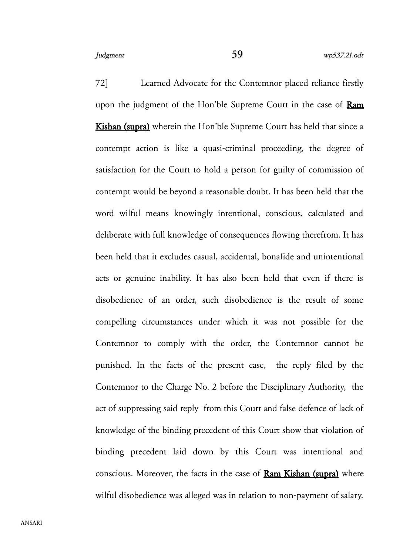72] Learned Advocate for the Contemnor placed reliance firstly upon the judgment of the Hon'ble Supreme Court in the case of Ram Kishan (supra) wherein the Hon'ble Supreme Court has held that since a contempt action is like a quasi-criminal proceeding, the degree of satisfaction for the Court to hold a person for guilty of commission of contempt would be beyond a reasonable doubt. It has been held that the word wilful means knowingly intentional, conscious, calculated and deliberate with full knowledge of consequences flowing therefrom. It has been held that it excludes casual, accidental, bonafide and unintentional acts or genuine inability. It has also been held that even if there is disobedience of an order, such disobedience is the result of some compelling circumstances under which it was not possible for the Contemnor to comply with the order, the Contemnor cannot be punished. In the facts of the present case, the reply filed by the Contemnor to the Charge No. 2 before the Disciplinary Authority, the act of suppressing said reply from this Court and false defence of lack of knowledge of the binding precedent of this Court show that violation of binding precedent laid down by this Court was intentional and conscious. Moreover, the facts in the case of **Ram Kishan (supra)** where wilful disobedience was alleged was in relation to non-payment of salary.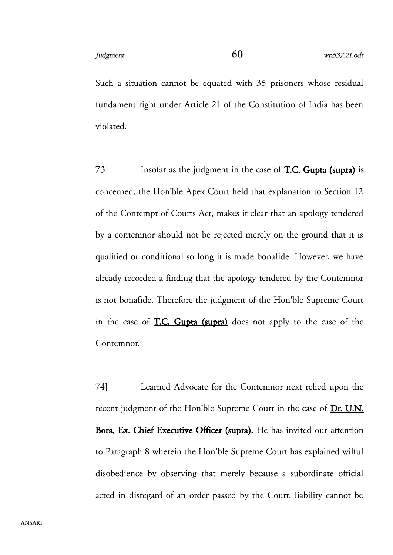Such a situation cannot be equated with 35 prisoners whose residual fundament right under Article 21 of the Constitution of India has been violated.

73] Insofar as the judgment in the case of T.C. Gupta (supra) is concerned, the Hon'ble Apex Court held that explanation to Section 12 of the Contempt of Courts Act, makes it clear that an apology tendered by a contemnor should not be rejected merely on the ground that it is qualified or conditional so long it is made bonafide. However, we have already recorded a finding that the apology tendered by the Contemnor is not bonafide. Therefore the judgment of the Hon'ble Supreme Court in the case of T.C. Gupta (supra) does not apply to the case of the Contemnor.

74] Learned Advocate for the Contemnor next relied upon the recent judgment of the Hon'ble Supreme Court in the case of Dr. U.N. Bora, Ex. Chief Executive Officer (supra). He has invited our attention to Paragraph 8 wherein the Hon'ble Supreme Court has explained wilful disobedience by observing that merely because a subordinate official acted in disregard of an order passed by the Court, liability cannot be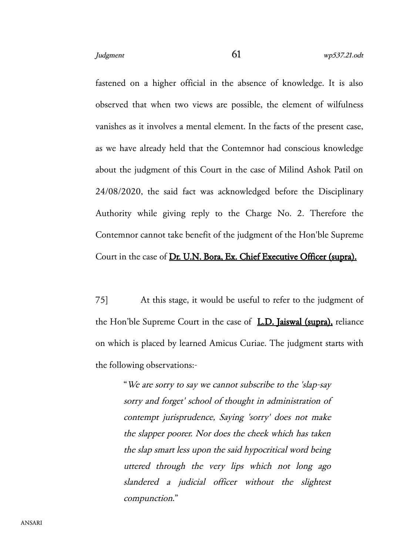fastened on a higher official in the absence of knowledge. It is also observed that when two views are possible, the element of wilfulness vanishes as it involves a mental element. In the facts of the present case, as we have already held that the Contemnor had conscious knowledge about the judgment of this Court in the case of Milind Ashok Patil on 24/08/2020, the said fact was acknowledged before the Disciplinary Authority while giving reply to the Charge No. 2. Therefore the Contemnor cannot take benefit of the judgment of the Hon'ble Supreme Court in the case of Dr. U.N. Bora, Ex. Chief Executive Officer (supra).

75] At this stage, it would be useful to refer to the judgment of the Hon'ble Supreme Court in the case of **L.D. Jaiswal (supra)**, reliance on which is placed by learned Amicus Curiae. The judgment starts with the following observations:-

> "We are sorry to say we cannot subscribe to the 'slap-say sorry and forget' school of thought in administration of contempt jurisprudence, Saying 'sorry' does not make the slapper poorer. Nor does the cheek which has taken the slap smart less upon the said hypocritical word being uttered through the very lips which not long ago slandered <sup>a</sup> judicial officer without the slightest compunction."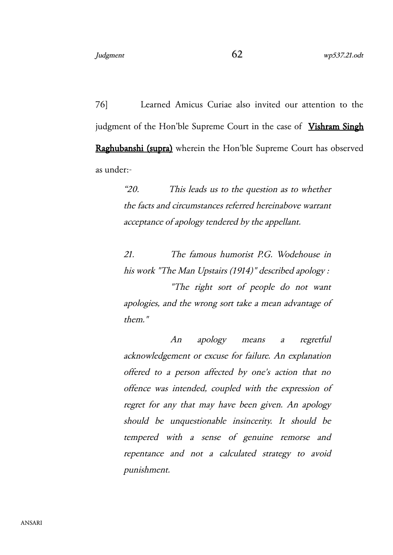76] Learned Amicus Curiae also invited our attention to the judgment of the Hon'ble Supreme Court in the case of Vishram Singh Raghubanshi (supra) wherein the Hon'ble Supreme Court has observed as under:-

> "20. This leads us to the question as to whether the facts and circumstances referred hereinabove warrant acceptance of apology tendered by the appellant.

> 21. The famous humorist P.G. Wodehouse in his work "The Man Upstairs (1914)" described apology :

> "The right sort of people do not want apologies, and the wrong sort take a mean advantage of them."

> An apology means <sup>a</sup> regretful acknowledgement or excuse for failure. An explanation offered to <sup>a</sup> person affected by one's action that no offence was intended, coupled with the expression of regret for any that may have been given. An apology should be unquestionable insincerity. It should be tempered with <sup>a</sup> sense of genuine remorse and repentance and not <sup>a</sup> calculated strategy to avoid punishment.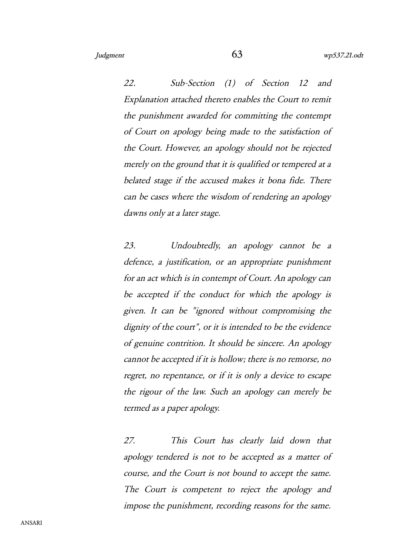22. Sub-Section (1) of Section <sup>12</sup> and Explanation attached thereto enables the Court to remit the punishment awarded for committing the contempt of Court on apology being made to the satisfaction of the Court. However, an apology should not be rejected merely on the ground that it is qualified or tempered at a belated stage if the accused makes it bona fide. There can be cases where the wisdom of rendering an apology dawns only at a later stage.

23. Undoubtedly, an apology cannot be <sup>a</sup> defence, a justification, or an appropriate punishment for an act which is in contempt of Court. An apology can be accepted if the conduct for which the apology is given. It can be "ignored without compromising the dignity of the court", or it is intended to be the evidence of genuine contrition. It should be sincere. An apology cannot be accepted if it is hollow; there is no remorse, no regret, no repentance, or if it is only a device to escape the rigour of the law. Such an apology can merely be termed as a paper apology.

27. This Court has clearly laid down that apology tendered is not to be accepted as a matter of course, and the Court is not bound to accept the same. The Court is competent to reject the apology and impose the punishment, recording reasons for the same.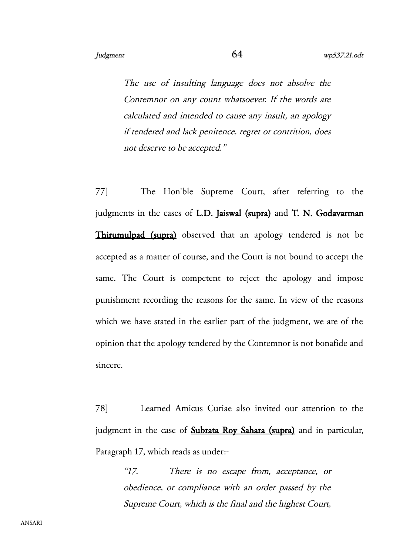The use of insulting language does not absolve the Contemnor on any count whatsoever. If the words are calculated and intended to cause any insult, an apology if tendered and lack penitence, regret or contrition, does not deserve to be accepted."

77] The Hon'ble Supreme Court, after referring to the judgments in the cases of L.D. Jaiswal (supra) and T. N. Godavarman Thirumulpad (supra) observed that an apology tendered is not be accepted as a matter of course, and the Court is not bound to accept the same. The Court is competent to reject the apology and impose punishment recording the reasons for the same. In view of the reasons which we have stated in the earlier part of the judgment, we are of the opinion that the apology tendered by the Contemnor is not bonafide and sincere.

78] Learned Amicus Curiae also invited our attention to the judgment in the case of **Subrata Roy Sahara (supra)** and in particular, Paragraph 17, which reads as under:-

> "17. There is no escape from, acceptance, or obedience, or compliance with an order passed by the Supreme Court, which is the final and the highest Court,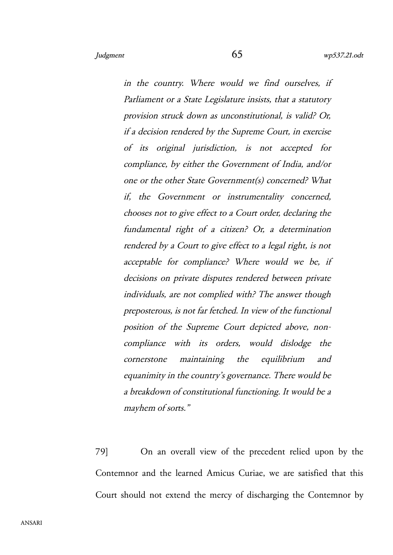in the country. Where would we find ourselves, if Parliament or a State Legislature insists, that a statutory provision struck down as unconstitutional, is valid? Or, if a decision rendered by the Supreme Court, in exercise of its original jurisdiction, is not accepted for compliance, by either the Government of India, and/or one or the other State Government(s) concerned? What if, the Government or instrumentality concerned, chooses not to give effect to a Court order, declaring the fundamental right of <sup>a</sup> citizen? Or, <sup>a</sup> determination rendered by a Court to give effect to a legal right, is not acceptable for compliance? Where would we be, if decisions on private disputes rendered between private individuals, are not complied with? The answer though preposterous, is not far fetched. In view of the functional position of the Supreme Court depicted above, noncompliance with its orders, would dislodge the cornerstone maintaining the equilibrium and equanimity in the country's governance. There would be a breakdown of constitutional functioning. It would be a mayhem of sorts."

79] On an overall view of the precedent relied upon by the Contemnor and the learned Amicus Curiae, we are satisfied that this Court should not extend the mercy of discharging the Contemnor by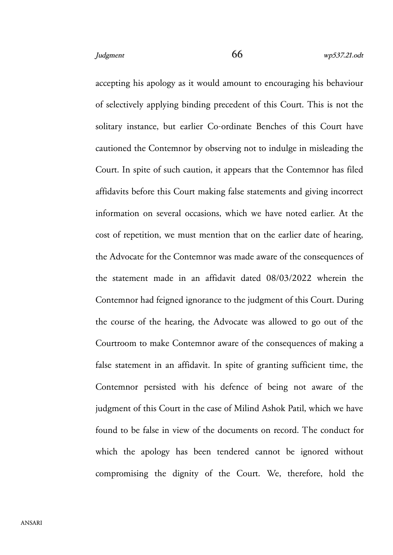accepting his apology as it would amount to encouraging his behaviour of selectively applying binding precedent of this Court. This is not the solitary instance, but earlier Co-ordinate Benches of this Court have cautioned the Contemnor by observing not to indulge in misleading the Court. In spite of such caution, it appears that the Contemnor has filed affidavits before this Court making false statements and giving incorrect information on several occasions, which we have noted earlier. At the cost of repetition, we must mention that on the earlier date of hearing, the Advocate for the Contemnor was made aware of the consequences of the statement made in an affidavit dated 08/03/2022 wherein the Contemnor had feigned ignorance to the judgment of this Court. During the course of the hearing, the Advocate was allowed to go out of the Courtroom to make Contemnor aware of the consequences of making a false statement in an affidavit. In spite of granting sufficient time, the Contemnor persisted with his defence of being not aware of the judgment of this Court in the case of Milind Ashok Patil, which we have found to be false in view of the documents on record. The conduct for which the apology has been tendered cannot be ignored without compromising the dignity of the Court. We, therefore, hold the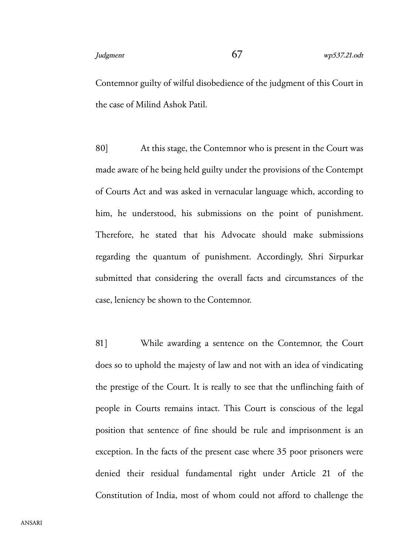Contemnor guilty of wilful disobedience of the judgment of this Court in the case of Milind Ashok Patil.

80] At this stage, the Contemnor who is present in the Court was made aware of he being held guilty under the provisions of the Contempt of Courts Act and was asked in vernacular language which, according to him, he understood, his submissions on the point of punishment. Therefore, he stated that his Advocate should make submissions regarding the quantum of punishment. Accordingly, Shri Sirpurkar submitted that considering the overall facts and circumstances of the case, leniency be shown to the Contemnor.

81] While awarding a sentence on the Contemnor, the Court does so to uphold the majesty of law and not with an idea of vindicating the prestige of the Court. It is really to see that the unflinching faith of people in Courts remains intact. This Court is conscious of the legal position that sentence of fine should be rule and imprisonment is an exception. In the facts of the present case where 35 poor prisoners were denied their residual fundamental right under Article 21 of the Constitution of India, most of whom could not afford to challenge the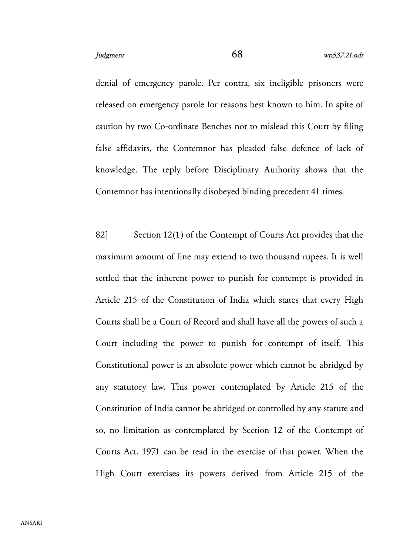denial of emergency parole. Per contra, six ineligible prisoners were released on emergency parole for reasons best known to him. In spite of caution by two Co-ordinate Benches not to mislead this Court by filing false affidavits, the Contemnor has pleaded false defence of lack of knowledge. The reply before Disciplinary Authority shows that the Contemnor has intentionally disobeyed binding precedent 41 times.

82] Section 12(1) of the Contempt of Courts Act provides that the maximum amount of fine may extend to two thousand rupees. It is well settled that the inherent power to punish for contempt is provided in Article 215 of the Constitution of India which states that every High Courts shall be a Court of Record and shall have all the powers of such a Court including the power to punish for contempt of itself. This Constitutional power is an absolute power which cannot be abridged by any statutory law. This power contemplated by Article 215 of the Constitution of India cannot be abridged or controlled by any statute and so, no limitation as contemplated by Section 12 of the Contempt of Courts Act, 1971 can be read in the exercise of that power. When the High Court exercises its powers derived from Article 215 of the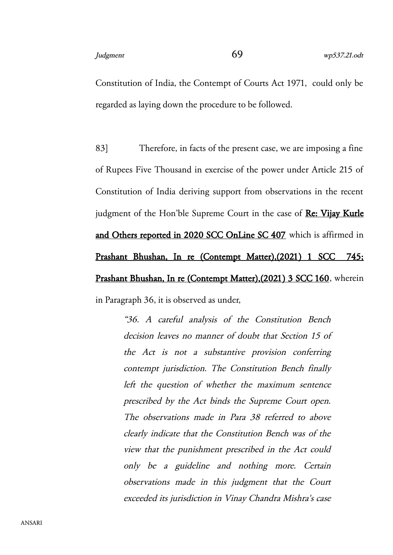Constitution of India, the Contempt of Courts Act 1971, could only be regarded as laying down the procedure to be followed.

83] Therefore, in facts of the present case, we are imposing a fine of Rupees Five Thousand in exercise of the power under Article 215 of Constitution of India deriving support from observations in the recent judgment of the Hon'ble Supreme Court in the case of Re: Vijay Kurle and Others reported in 2020 SCC OnLine SC 407 which is affirmed in Prashant Bhushan, In re (Contempt Matter),(2021) 1 SCC 745; Prashant Bhushan, In re (Contempt Matter),(2021) 3 SCC 160, wherein

in Paragraph 36, it is observed as under,

"36. <sup>A</sup> careful analysis of the Constitution Bench decision leaves no manner of doubt that Section 15 of the Act is not <sup>a</sup> substantive provision conferring contempt jurisdiction. The Constitution Bench finally left the question of whether the maximum sentence prescribed by the Act binds the Supreme Court open. The observations made in Para <sup>38</sup> referred to above clearly indicate that the Constitution Bench was of the view that the punishment prescribed in the Act could only be <sup>a</sup> guideline and nothing more. Certain observations made in this judgment that the Court exceeded its jurisdiction in Vinay Chandra Mishra's case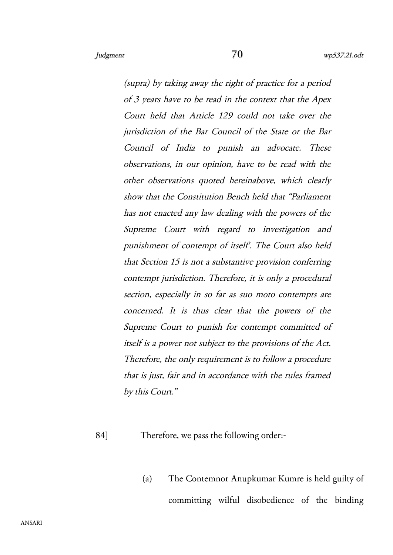(supra) by taking away the right of practice for a period of 3 years have to be read in the context that the Apex Court held that Article 129 could not take over the jurisdiction of the Bar Council of the State or the Bar Council of India to punish an advocate. These observations, in our opinion, have to be read with the other observations quoted hereinabove, which clearly show that the Constitution Bench held that "Parliament has not enacted any law dealing with the powers of the Supreme Court with regard to investigation and punishment of contempt of itself'. The Court also held that Section 15 is not a substantive provision conferring contempt jurisdiction. Therefore, it is only a procedural section, especially in so far as suo moto contempts are concerned. It is thus clear that the powers of the Supreme Court to punish for contempt committed of itself is a power not subject to the provisions of the Act. Therefore, the only requirement is to follow a procedure that is just, fair and in accordance with the rules framed by this Court."

84] Therefore, we pass the following order:-

(a) The Contemnor Anupkumar Kumre is held guilty of committing wilful disobedience of the binding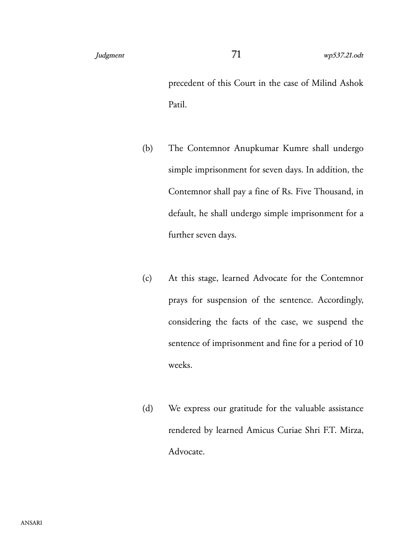precedent of this Court in the case of Milind Ashok Patil.

- (b) The Contemnor Anupkumar Kumre shall undergo simple imprisonment for seven days. In addition, the Contemnor shall pay a fine of Rs. Five Thousand, in default, he shall undergo simple imprisonment for a further seven days.
- (c) At this stage, learned Advocate for the Contemnor prays for suspension of the sentence. Accordingly, considering the facts of the case, we suspend the sentence of imprisonment and fine for a period of 10 weeks.
- (d) We express our gratitude for the valuable assistance rendered by learned Amicus Curiae Shri F.T. Mirza, Advocate.